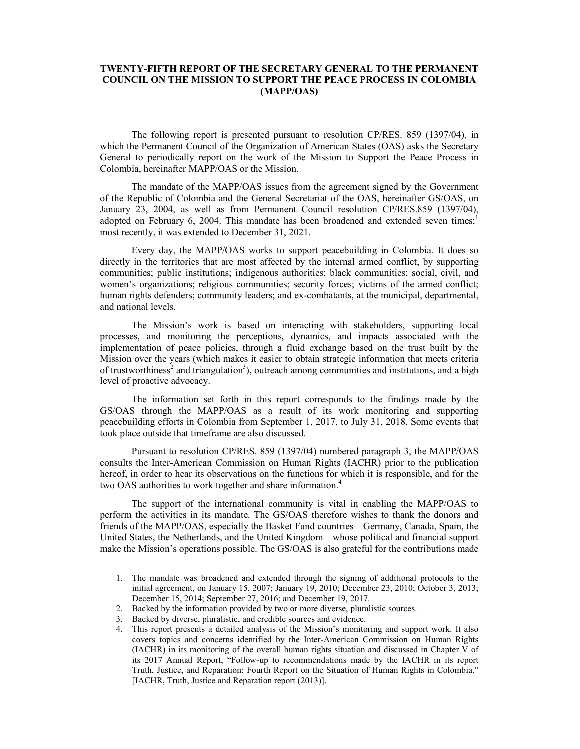# **TWENTY-FIFTH REPORT OF THE SECRETARY GENERAL TO THE PERMANENT COUNCIL ON THE MISSION TO SUPPORT THE PEACE PROCESS IN COLOMBIA (MAPP/OAS)**

The following report is presented pursuant to resolution CP/RES. 859 (1397/04), in which the Permanent Council of the Organization of American States (OAS) asks the Secretary General to periodically report on the work of the Mission to Support the Peace Process in Colombia, hereinafter MAPP/OAS or the Mission.

The mandate of the MAPP/OAS issues from the agreement signed by the Government of the Republic of Colombia and the General Secretariat of the OAS, hereinafter GS/OAS, on January 23, 2004, as well as from Permanent Council resolution CP/RES.859 (1397/04), adopted on February 6, 2004. This mandate has been broadened and extended seven times; most recently, it was extended to December 31, 2021.

Every day, the MAPP/OAS works to support peacebuilding in Colombia. It does so directly in the territories that are most affected by the internal armed conflict, by supporting communities; public institutions; indigenous authorities; black communities; social, civil, and women's organizations; religious communities; security forces; victims of the armed conflict; human rights defenders; community leaders; and ex-combatants, at the municipal, departmental, and national levels.

The Mission's work is based on interacting with stakeholders, supporting local processes, and monitoring the perceptions, dynamics, and impacts associated with the implementation of peace policies, through a fluid exchange based on the trust built by the Mission over the years (which makes it easier to obtain strategic information that meets criteria of trustworthiness<sup>2</sup> and triangulation<sup>3</sup>), outreach among communities and institutions, and a high level of proactive advocacy.

The information set forth in this report corresponds to the findings made by the GS/OAS through the MAPP/OAS as a result of its work monitoring and supporting peacebuilding efforts in Colombia from September 1, 2017, to July 31, 2018. Some events that took place outside that timeframe are also discussed.

Pursuant to resolution CP/RES. 859 (1397/04) numbered paragraph 3, the MAPP/OAS consults the Inter-American Commission on Human Rights (IACHR) prior to the publication hereof, in order to hear its observations on the functions for which it is responsible, and for the two OAS authorities to work together and share information.<sup>4</sup>

The support of the international community is vital in enabling the MAPP/OAS to perform the activities in its mandate. The GS/OAS therefore wishes to thank the donors and friends of the MAPP/OAS, especially the Basket Fund countries—Germany, Canada, Spain, the United States, the Netherlands, and the United Kingdom—whose political and financial support make the Mission's operations possible. The GS/OAS is also grateful for the contributions made

<sup>1.</sup> The mandate was broadened and extended through the signing of additional protocols to the initial agreement, on January 15, 2007; January 19, 2010; December 23, 2010; October 3, 2013; December 15, 2014; September 27, 2016; and December 19, 2017.

<sup>2.</sup> Backed by the information provided by two or more diverse, pluralistic sources.

<sup>3.</sup> Backed by diverse, pluralistic, and credible sources and evidence.

<sup>4.</sup> This report presents a detailed analysis of the Mission's monitoring and support work. It also covers topics and concerns identified by the Inter-American Commission on Human Rights (IACHR) in its monitoring of the overall human rights situation and discussed in Chapter  $\overline{V}$  of its 2017 Annual Report, "Follow-up to recommendations made by the IACHR in its report Truth, Justice, and Reparation: Fourth Report on the Situation of Human Rights in Colombia." [IACHR, Truth, Justice and Reparation report (2013)].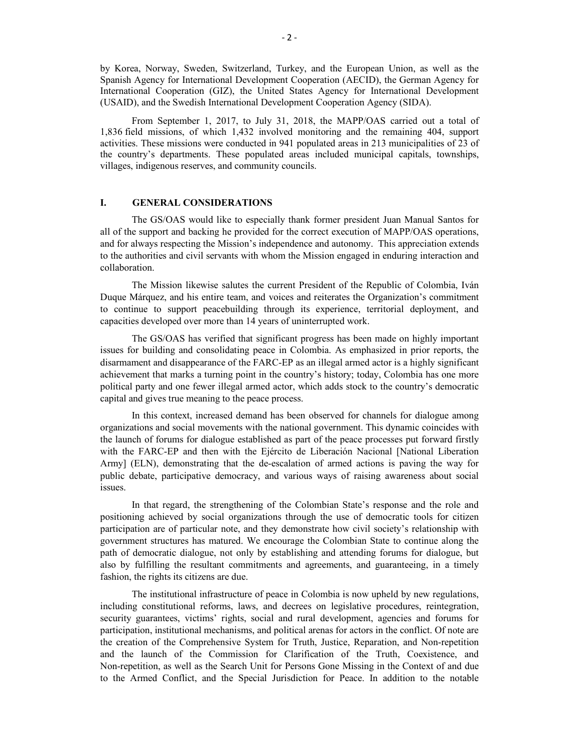by Korea, Norway, Sweden, Switzerland, Turkey, and the European Union, as well as the Spanish Agency for International Development Cooperation (AECID), the German Agency for International Cooperation (GIZ), the United States Agency for International Development (USAID), and the Swedish International Development Cooperation Agency (SIDA).

 From September 1, 2017, to July 31, 2018, the MAPP/OAS carried out a total of 1,836 field missions, of which 1,432 involved monitoring and the remaining 404, support activities. These missions were conducted in 941 populated areas in 213 municipalities of 23 of the country's departments. These populated areas included municipal capitals, townships, villages, indigenous reserves, and community councils.

# **I. GENERAL CONSIDERATIONS**

The GS/OAS would like to especially thank former president Juan Manual Santos for all of the support and backing he provided for the correct execution of MAPP/OAS operations, and for always respecting the Mission's independence and autonomy. This appreciation extends to the authorities and civil servants with whom the Mission engaged in enduring interaction and collaboration.

The Mission likewise salutes the current President of the Republic of Colombia, Iván Duque Márquez, and his entire team, and voices and reiterates the Organization's commitment to continue to support peacebuilding through its experience, territorial deployment, and capacities developed over more than 14 years of uninterrupted work.

The GS/OAS has verified that significant progress has been made on highly important issues for building and consolidating peace in Colombia. As emphasized in prior reports, the disarmament and disappearance of the FARC-EP as an illegal armed actor is a highly significant achievement that marks a turning point in the country's history; today, Colombia has one more political party and one fewer illegal armed actor, which adds stock to the country's democratic capital and gives true meaning to the peace process.

In this context, increased demand has been observed for channels for dialogue among organizations and social movements with the national government. This dynamic coincides with the launch of forums for dialogue established as part of the peace processes put forward firstly with the FARC-EP and then with the Ejército de Liberación Nacional [National Liberation Army] (ELN), demonstrating that the de-escalation of armed actions is paving the way for public debate, participative democracy, and various ways of raising awareness about social issues.

In that regard, the strengthening of the Colombian State's response and the role and positioning achieved by social organizations through the use of democratic tools for citizen participation are of particular note, and they demonstrate how civil society's relationship with government structures has matured. We encourage the Colombian State to continue along the path of democratic dialogue, not only by establishing and attending forums for dialogue, but also by fulfilling the resultant commitments and agreements, and guaranteeing, in a timely fashion, the rights its citizens are due.

The institutional infrastructure of peace in Colombia is now upheld by new regulations, including constitutional reforms, laws, and decrees on legislative procedures, reintegration, security guarantees, victims' rights, social and rural development, agencies and forums for participation, institutional mechanisms, and political arenas for actors in the conflict. Of note are the creation of the Comprehensive System for Truth, Justice, Reparation, and Non-repetition and the launch of the Commission for Clarification of the Truth, Coexistence, and Non-repetition, as well as the Search Unit for Persons Gone Missing in the Context of and due to the Armed Conflict, and the Special Jurisdiction for Peace. In addition to the notable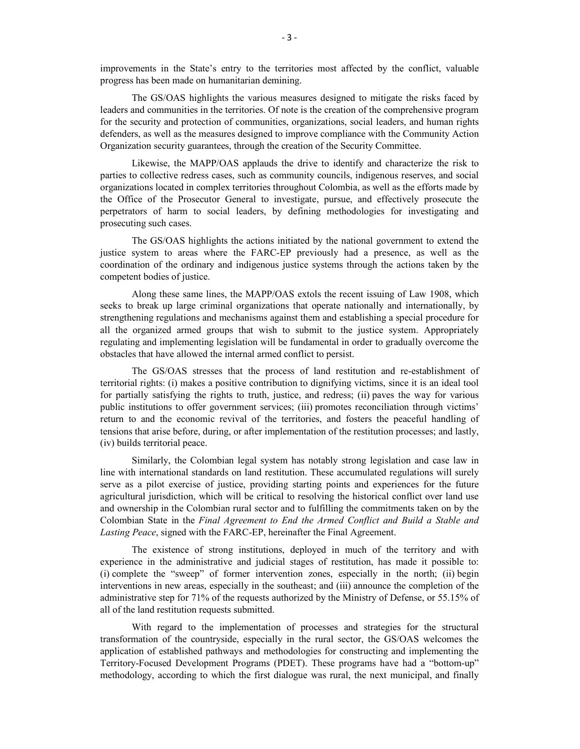improvements in the State's entry to the territories most affected by the conflict, valuable progress has been made on humanitarian demining.

The GS/OAS highlights the various measures designed to mitigate the risks faced by leaders and communities in the territories. Of note is the creation of the comprehensive program for the security and protection of communities, organizations, social leaders, and human rights defenders, as well as the measures designed to improve compliance with the Community Action Organization security guarantees, through the creation of the Security Committee.

Likewise, the MAPP/OAS applauds the drive to identify and characterize the risk to parties to collective redress cases, such as community councils, indigenous reserves, and social organizations located in complex territories throughout Colombia, as well as the efforts made by the Office of the Prosecutor General to investigate, pursue, and effectively prosecute the perpetrators of harm to social leaders, by defining methodologies for investigating and prosecuting such cases.

The GS/OAS highlights the actions initiated by the national government to extend the justice system to areas where the FARC-EP previously had a presence, as well as the coordination of the ordinary and indigenous justice systems through the actions taken by the competent bodies of justice.

Along these same lines, the MAPP/OAS extols the recent issuing of Law 1908, which seeks to break up large criminal organizations that operate nationally and internationally, by strengthening regulations and mechanisms against them and establishing a special procedure for all the organized armed groups that wish to submit to the justice system. Appropriately regulating and implementing legislation will be fundamental in order to gradually overcome the obstacles that have allowed the internal armed conflict to persist.

The GS/OAS stresses that the process of land restitution and re-establishment of territorial rights: (i) makes a positive contribution to dignifying victims, since it is an ideal tool for partially satisfying the rights to truth, justice, and redress; (ii) paves the way for various public institutions to offer government services; (iii) promotes reconciliation through victims' return to and the economic revival of the territories, and fosters the peaceful handling of tensions that arise before, during, or after implementation of the restitution processes; and lastly, (iv) builds territorial peace.

Similarly, the Colombian legal system has notably strong legislation and case law in line with international standards on land restitution. These accumulated regulations will surely serve as a pilot exercise of justice, providing starting points and experiences for the future agricultural jurisdiction, which will be critical to resolving the historical conflict over land use and ownership in the Colombian rural sector and to fulfilling the commitments taken on by the Colombian State in the *Final Agreement to End the Armed Conflict and Build a Stable and Lasting Peace*, signed with the FARC-EP, hereinafter the Final Agreement.

The existence of strong institutions, deployed in much of the territory and with experience in the administrative and judicial stages of restitution, has made it possible to: (i) complete the "sweep" of former intervention zones, especially in the north; (ii) begin interventions in new areas, especially in the southeast; and (iii) announce the completion of the administrative step for 71% of the requests authorized by the Ministry of Defense, or 55.15% of all of the land restitution requests submitted.

With regard to the implementation of processes and strategies for the structural transformation of the countryside, especially in the rural sector, the GS/OAS welcomes the application of established pathways and methodologies for constructing and implementing the Territory-Focused Development Programs (PDET). These programs have had a "bottom-up" methodology, according to which the first dialogue was rural, the next municipal, and finally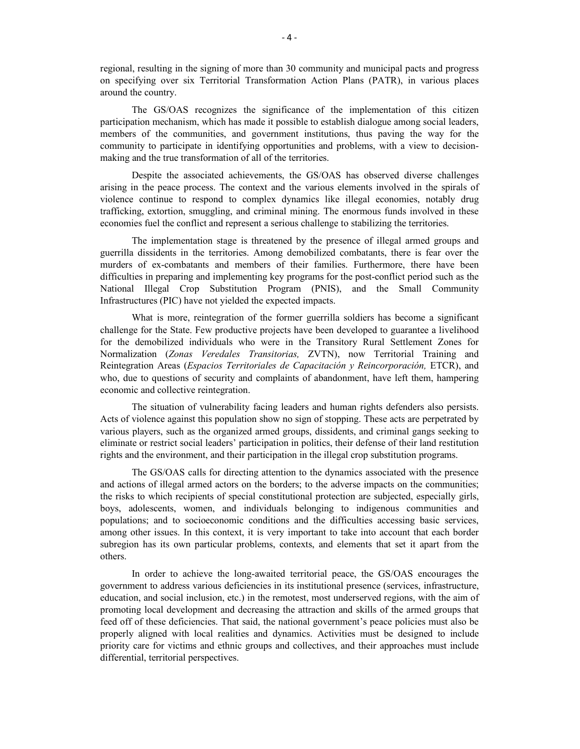regional, resulting in the signing of more than 30 community and municipal pacts and progress on specifying over six Territorial Transformation Action Plans (PATR), in various places around the country.

The GS/OAS recognizes the significance of the implementation of this citizen participation mechanism, which has made it possible to establish dialogue among social leaders, members of the communities, and government institutions, thus paving the way for the community to participate in identifying opportunities and problems, with a view to decisionmaking and the true transformation of all of the territories.

Despite the associated achievements, the GS/OAS has observed diverse challenges arising in the peace process. The context and the various elements involved in the spirals of violence continue to respond to complex dynamics like illegal economies, notably drug trafficking, extortion, smuggling, and criminal mining. The enormous funds involved in these economies fuel the conflict and represent a serious challenge to stabilizing the territories.

The implementation stage is threatened by the presence of illegal armed groups and guerrilla dissidents in the territories. Among demobilized combatants, there is fear over the murders of ex-combatants and members of their families. Furthermore, there have been difficulties in preparing and implementing key programs for the post-conflict period such as the National Illegal Crop Substitution Program (PNIS), and the Small Community Infrastructures (PIC) have not yielded the expected impacts.

What is more, reintegration of the former guerrilla soldiers has become a significant challenge for the State. Few productive projects have been developed to guarantee a livelihood for the demobilized individuals who were in the Transitory Rural Settlement Zones for Normalization (*Zonas Veredales Transitorias,* ZVTN), now Territorial Training and Reintegration Areas (*Espacios Territoriales de Capacitación y Reincorporación,* ETCR), and who, due to questions of security and complaints of abandonment, have left them, hampering economic and collective reintegration.

The situation of vulnerability facing leaders and human rights defenders also persists. Acts of violence against this population show no sign of stopping. These acts are perpetrated by various players, such as the organized armed groups, dissidents, and criminal gangs seeking to eliminate or restrict social leaders' participation in politics, their defense of their land restitution rights and the environment, and their participation in the illegal crop substitution programs.

The GS/OAS calls for directing attention to the dynamics associated with the presence and actions of illegal armed actors on the borders; to the adverse impacts on the communities; the risks to which recipients of special constitutional protection are subjected, especially girls, boys, adolescents, women, and individuals belonging to indigenous communities and populations; and to socioeconomic conditions and the difficulties accessing basic services, among other issues. In this context, it is very important to take into account that each border subregion has its own particular problems, contexts, and elements that set it apart from the others.

In order to achieve the long-awaited territorial peace, the GS/OAS encourages the government to address various deficiencies in its institutional presence (services, infrastructure, education, and social inclusion, etc.) in the remotest, most underserved regions, with the aim of promoting local development and decreasing the attraction and skills of the armed groups that feed off of these deficiencies. That said, the national government's peace policies must also be properly aligned with local realities and dynamics. Activities must be designed to include priority care for victims and ethnic groups and collectives, and their approaches must include differential, territorial perspectives.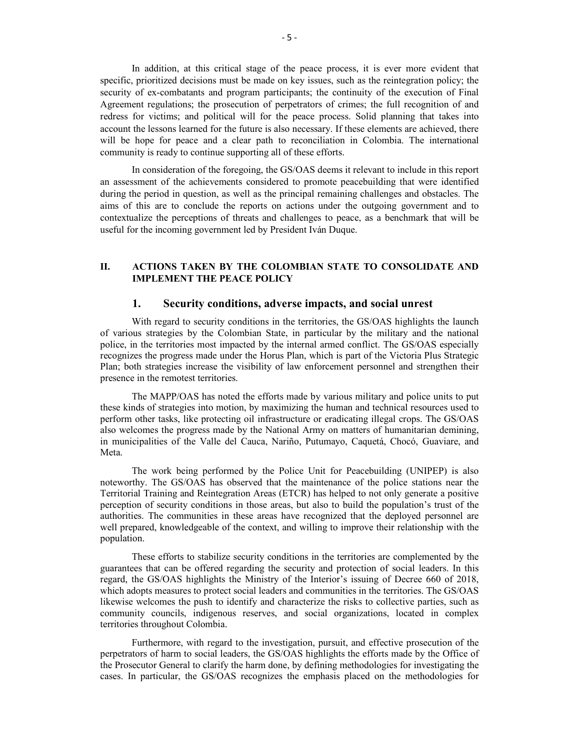In addition, at this critical stage of the peace process, it is ever more evident that specific, prioritized decisions must be made on key issues, such as the reintegration policy; the security of ex-combatants and program participants; the continuity of the execution of Final Agreement regulations; the prosecution of perpetrators of crimes; the full recognition of and redress for victims; and political will for the peace process. Solid planning that takes into account the lessons learned for the future is also necessary. If these elements are achieved, there will be hope for peace and a clear path to reconciliation in Colombia. The international community is ready to continue supporting all of these efforts.

 In consideration of the foregoing, the GS/OAS deems it relevant to include in this report an assessment of the achievements considered to promote peacebuilding that were identified during the period in question, as well as the principal remaining challenges and obstacles. The aims of this are to conclude the reports on actions under the outgoing government and to contextualize the perceptions of threats and challenges to peace, as a benchmark that will be useful for the incoming government led by President Iván Duque.

# **II. ACTIONS TAKEN BY THE COLOMBIAN STATE TO CONSOLIDATE AND IMPLEMENT THE PEACE POLICY**

### **1. Security conditions, adverse impacts, and social unrest**

With regard to security conditions in the territories, the GS/OAS highlights the launch of various strategies by the Colombian State, in particular by the military and the national police, in the territories most impacted by the internal armed conflict. The GS/OAS especially recognizes the progress made under the Horus Plan, which is part of the Victoria Plus Strategic Plan; both strategies increase the visibility of law enforcement personnel and strengthen their presence in the remotest territories.

The MAPP/OAS has noted the efforts made by various military and police units to put these kinds of strategies into motion, by maximizing the human and technical resources used to perform other tasks, like protecting oil infrastructure or eradicating illegal crops. The GS/OAS also welcomes the progress made by the National Army on matters of humanitarian demining, in municipalities of the Valle del Cauca, Nariño, Putumayo, Caquetá, Chocó, Guaviare, and Meta.

The work being performed by the Police Unit for Peacebuilding (UNIPEP) is also noteworthy. The GS/OAS has observed that the maintenance of the police stations near the Territorial Training and Reintegration Areas (ETCR) has helped to not only generate a positive perception of security conditions in those areas, but also to build the population's trust of the authorities. The communities in these areas have recognized that the deployed personnel are well prepared, knowledgeable of the context, and willing to improve their relationship with the population.

These efforts to stabilize security conditions in the territories are complemented by the guarantees that can be offered regarding the security and protection of social leaders. In this regard, the GS/OAS highlights the Ministry of the Interior's issuing of Decree 660 of 2018, which adopts measures to protect social leaders and communities in the territories. The GS/OAS likewise welcomes the push to identify and characterize the risks to collective parties, such as community councils, indigenous reserves, and social organizations, located in complex territories throughout Colombia.

Furthermore, with regard to the investigation, pursuit, and effective prosecution of the perpetrators of harm to social leaders, the GS/OAS highlights the efforts made by the Office of the Prosecutor General to clarify the harm done, by defining methodologies for investigating the cases. In particular, the GS/OAS recognizes the emphasis placed on the methodologies for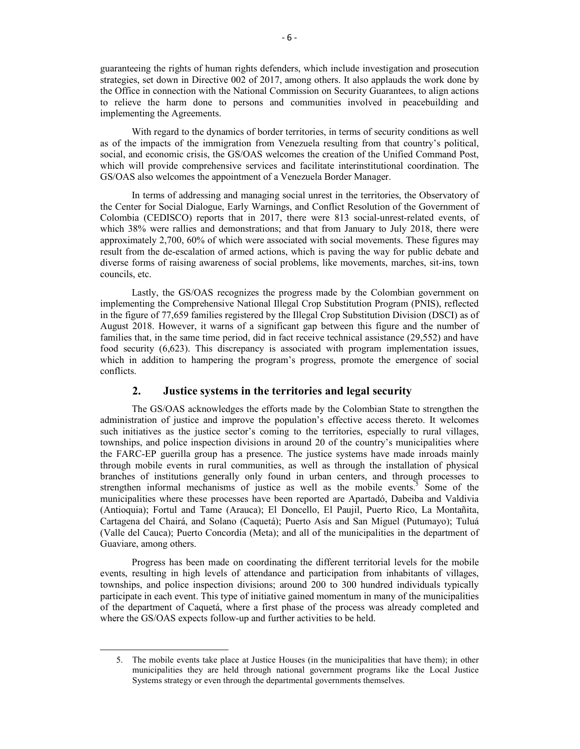guaranteeing the rights of human rights defenders, which include investigation and prosecution strategies, set down in Directive 002 of 2017, among others. It also applauds the work done by the Office in connection with the National Commission on Security Guarantees, to align actions to relieve the harm done to persons and communities involved in peacebuilding and implementing the Agreements.

With regard to the dynamics of border territories, in terms of security conditions as well as of the impacts of the immigration from Venezuela resulting from that country's political, social, and economic crisis, the GS/OAS welcomes the creation of the Unified Command Post, which will provide comprehensive services and facilitate interinstitutional coordination. The GS/OAS also welcomes the appointment of a Venezuela Border Manager.

In terms of addressing and managing social unrest in the territories, the Observatory of the Center for Social Dialogue, Early Warnings, and Conflict Resolution of the Government of Colombia (CEDISCO) reports that in 2017, there were 813 social-unrest-related events, of which 38% were rallies and demonstrations; and that from January to July 2018, there were approximately 2,700, 60% of which were associated with social movements. These figures may result from the de-escalation of armed actions, which is paving the way for public debate and diverse forms of raising awareness of social problems, like movements, marches, sit-ins, town councils, etc.

Lastly, the GS/OAS recognizes the progress made by the Colombian government on implementing the Comprehensive National Illegal Crop Substitution Program (PNIS), reflected in the figure of 77,659 families registered by the Illegal Crop Substitution Division (DSCI) as of August 2018. However, it warns of a significant gap between this figure and the number of families that, in the same time period, did in fact receive technical assistance (29,552) and have food security (6,623). This discrepancy is associated with program implementation issues, which in addition to hampering the program's progress, promote the emergence of social conflicts.

# **2. Justice systems in the territories and legal security**

The GS/OAS acknowledges the efforts made by the Colombian State to strengthen the administration of justice and improve the population's effective access thereto. It welcomes such initiatives as the justice sector's coming to the territories, especially to rural villages, townships, and police inspection divisions in around 20 of the country's municipalities where the FARC-EP guerilla group has a presence. The justice systems have made inroads mainly through mobile events in rural communities, as well as through the installation of physical branches of institutions generally only found in urban centers, and through processes to strengthen informal mechanisms of justice as well as the mobile events.<sup>5</sup> Some of the municipalities where these processes have been reported are Apartadó, Dabeiba and Valdivia (Antioquia); Fortul and Tame (Arauca); El Doncello, El Paujil, Puerto Rico, La Montañita, Cartagena del Chairá, and Solano (Caquetá); Puerto Asís and San Miguel (Putumayo); Tuluá (Valle del Cauca); Puerto Concordia (Meta); and all of the municipalities in the department of Guaviare, among others.

Progress has been made on coordinating the different territorial levels for the mobile events, resulting in high levels of attendance and participation from inhabitants of villages, townships, and police inspection divisions; around 200 to 300 hundred individuals typically participate in each event. This type of initiative gained momentum in many of the municipalities of the department of Caquetá, where a first phase of the process was already completed and where the GS/OAS expects follow-up and further activities to be held.

<sup>5.</sup> The mobile events take place at Justice Houses (in the municipalities that have them); in other municipalities they are held through national government programs like the Local Justice Systems strategy or even through the departmental governments themselves.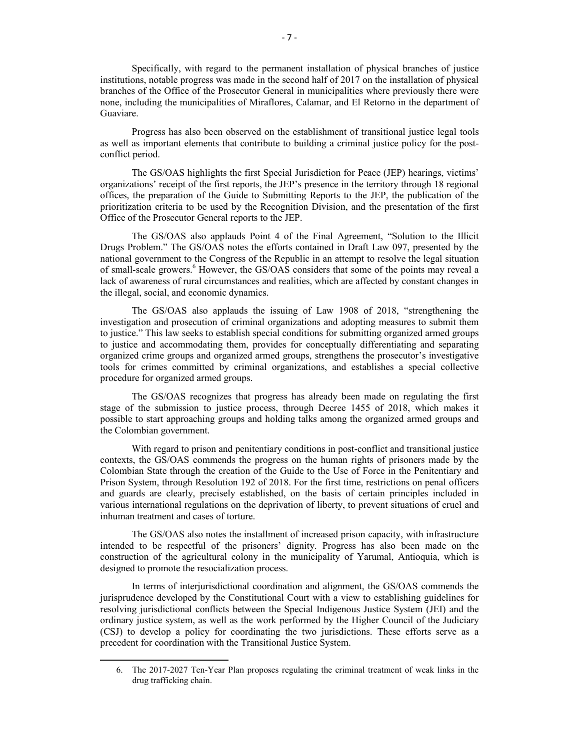Specifically, with regard to the permanent installation of physical branches of justice institutions, notable progress was made in the second half of 2017 on the installation of physical branches of the Office of the Prosecutor General in municipalities where previously there were none, including the municipalities of Miraflores, Calamar, and El Retorno in the department of Guaviare.

Progress has also been observed on the establishment of transitional justice legal tools as well as important elements that contribute to building a criminal justice policy for the postconflict period.

The GS/OAS highlights the first Special Jurisdiction for Peace (JEP) hearings, victims' organizations' receipt of the first reports, the JEP's presence in the territory through 18 regional offices, the preparation of the Guide to Submitting Reports to the JEP, the publication of the prioritization criteria to be used by the Recognition Division, and the presentation of the first Office of the Prosecutor General reports to the JEP.

The GS/OAS also applauds Point 4 of the Final Agreement, "Solution to the Illicit Drugs Problem." The GS/OAS notes the efforts contained in Draft Law 097, presented by the national government to the Congress of the Republic in an attempt to resolve the legal situation of small-scale growers.<sup>6</sup> However, the GS/OAS considers that some of the points may reveal a lack of awareness of rural circumstances and realities, which are affected by constant changes in the illegal, social, and economic dynamics.

The GS/OAS also applauds the issuing of Law 1908 of 2018, "strengthening the investigation and prosecution of criminal organizations and adopting measures to submit them to justice." This law seeks to establish special conditions for submitting organized armed groups to justice and accommodating them, provides for conceptually differentiating and separating organized crime groups and organized armed groups, strengthens the prosecutor's investigative tools for crimes committed by criminal organizations, and establishes a special collective procedure for organized armed groups.

The GS/OAS recognizes that progress has already been made on regulating the first stage of the submission to justice process, through Decree 1455 of 2018, which makes it possible to start approaching groups and holding talks among the organized armed groups and the Colombian government.

With regard to prison and penitentiary conditions in post-conflict and transitional justice contexts, the GS/OAS commends the progress on the human rights of prisoners made by the Colombian State through the creation of the Guide to the Use of Force in the Penitentiary and Prison System, through Resolution 192 of 2018. For the first time, restrictions on penal officers and guards are clearly, precisely established, on the basis of certain principles included in various international regulations on the deprivation of liberty, to prevent situations of cruel and inhuman treatment and cases of torture.

The GS/OAS also notes the installment of increased prison capacity, with infrastructure intended to be respectful of the prisoners' dignity. Progress has also been made on the construction of the agricultural colony in the municipality of Yarumal, Antioquia, which is designed to promote the resocialization process.

In terms of interjurisdictional coordination and alignment, the GS/OAS commends the jurisprudence developed by the Constitutional Court with a view to establishing guidelines for resolving jurisdictional conflicts between the Special Indigenous Justice System (JEI) and the ordinary justice system, as well as the work performed by the Higher Council of the Judiciary (CSJ) to develop a policy for coordinating the two jurisdictions. These efforts serve as a precedent for coordination with the Transitional Justice System.

<sup>6.</sup> The 2017-2027 Ten-Year Plan proposes regulating the criminal treatment of weak links in the drug trafficking chain.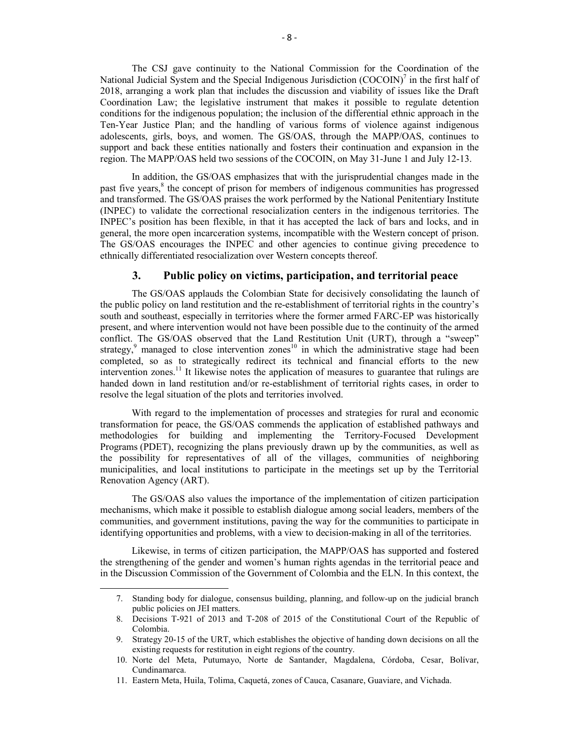The CSJ gave continuity to the National Commission for the Coordination of the National Judicial System and the Special Indigenous Jurisdiction (COCOIN)<sup>7</sup> in the first half of 2018, arranging a work plan that includes the discussion and viability of issues like the Draft Coordination Law; the legislative instrument that makes it possible to regulate detention conditions for the indigenous population; the inclusion of the differential ethnic approach in the Ten-Year Justice Plan; and the handling of various forms of violence against indigenous adolescents, girls, boys, and women. The GS/OAS, through the MAPP/OAS, continues to support and back these entities nationally and fosters their continuation and expansion in the region. The MAPP/OAS held two sessions of the COCOIN, on May 31-June 1 and July 12-13.

In addition, the GS/OAS emphasizes that with the jurisprudential changes made in the past five years,<sup>8</sup> the concept of prison for members of indigenous communities has progressed and transformed. The GS/OAS praises the work performed by the National Penitentiary Institute (INPEC) to validate the correctional resocialization centers in the indigenous territories. The INPEC's position has been flexible, in that it has accepted the lack of bars and locks, and in general, the more open incarceration systems, incompatible with the Western concept of prison. The GS/OAS encourages the INPEC and other agencies to continue giving precedence to ethnically differentiated resocialization over Western concepts thereof.

# **3. Public policy on victims, participation, and territorial peace**

The GS/OAS applauds the Colombian State for decisively consolidating the launch of the public policy on land restitution and the re-establishment of territorial rights in the country's south and southeast, especially in territories where the former armed FARC-EP was historically present, and where intervention would not have been possible due to the continuity of the armed conflict. The GS/OAS observed that the Land Restitution Unit (URT), through a "sweep" strategy,<sup>9</sup> managed to close intervention zones<sup>10</sup> in which the administrative stage had been completed, so as to strategically redirect its technical and financial efforts to the new intervention zones.<sup>11</sup> It likewise notes the application of measures to guarantee that rulings are handed down in land restitution and/or re-establishment of territorial rights cases, in order to resolve the legal situation of the plots and territories involved.

With regard to the implementation of processes and strategies for rural and economic transformation for peace, the GS/OAS commends the application of established pathways and methodologies for building and implementing the Territory-Focused Development Programs (PDET), recognizing the plans previously drawn up by the communities, as well as the possibility for representatives of all of the villages, communities of neighboring municipalities, and local institutions to participate in the meetings set up by the Territorial Renovation Agency (ART).

The GS/OAS also values the importance of the implementation of citizen participation mechanisms, which make it possible to establish dialogue among social leaders, members of the communities, and government institutions, paving the way for the communities to participate in identifying opportunities and problems, with a view to decision-making in all of the territories.

Likewise, in terms of citizen participation, the MAPP/OAS has supported and fostered the strengthening of the gender and women's human rights agendas in the territorial peace and in the Discussion Commission of the Government of Colombia and the ELN. In this context, the

<sup>7.</sup> Standing body for dialogue, consensus building, planning, and follow-up on the judicial branch public policies on JEI matters.

<sup>8.</sup> Decisions T-921 of 2013 and T-208 of 2015 of the Constitutional Court of the Republic of Colombia.

<sup>9.</sup> Strategy 20-15 of the URT, which establishes the objective of handing down decisions on all the existing requests for restitution in eight regions of the country.

<sup>10.</sup> Norte del Meta, Putumayo, Norte de Santander, Magdalena, Córdoba, Cesar, Bolívar, Cundinamarca.

<sup>11.</sup> Eastern Meta, Huila, Tolima, Caquetá, zones of Cauca, Casanare, Guaviare, and Vichada.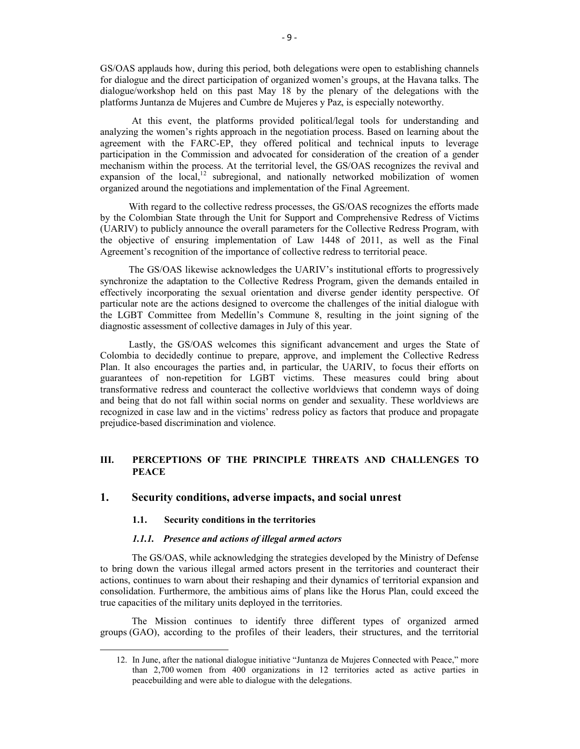GS/OAS applauds how, during this period, both delegations were open to establishing channels for dialogue and the direct participation of organized women's groups, at the Havana talks. The dialogue/workshop held on this past May 18 by the plenary of the delegations with the platforms Juntanza de Mujeres and Cumbre de Mujeres y Paz, is especially noteworthy.

At this event, the platforms provided political/legal tools for understanding and analyzing the women's rights approach in the negotiation process. Based on learning about the agreement with the FARC-EP, they offered political and technical inputs to leverage participation in the Commission and advocated for consideration of the creation of a gender mechanism within the process. At the territorial level, the GS/OAS recognizes the revival and expansion of the local, $12$  subregional, and nationally networked mobilization of women organized around the negotiations and implementation of the Final Agreement.

With regard to the collective redress processes, the GS/OAS recognizes the efforts made by the Colombian State through the Unit for Support and Comprehensive Redress of Victims (UARIV) to publicly announce the overall parameters for the Collective Redress Program, with the objective of ensuring implementation of Law 1448 of 2011, as well as the Final Agreement's recognition of the importance of collective redress to territorial peace.

The GS/OAS likewise acknowledges the UARIV's institutional efforts to progressively synchronize the adaptation to the Collective Redress Program, given the demands entailed in effectively incorporating the sexual orientation and diverse gender identity perspective. Of particular note are the actions designed to overcome the challenges of the initial dialogue with the LGBT Committee from Medellín's Commune 8, resulting in the joint signing of the diagnostic assessment of collective damages in July of this year.

Lastly, the GS/OAS welcomes this significant advancement and urges the State of Colombia to decidedly continue to prepare, approve, and implement the Collective Redress Plan. It also encourages the parties and, in particular, the UARIV, to focus their efforts on guarantees of non-repetition for LGBT victims. These measures could bring about transformative redress and counteract the collective worldviews that condemn ways of doing and being that do not fall within social norms on gender and sexuality. These worldviews are recognized in case law and in the victims' redress policy as factors that produce and propagate prejudice-based discrimination and violence.

# **III. PERCEPTIONS OF THE PRINCIPLE THREATS AND CHALLENGES TO PEACE**

# **1. Security conditions, adverse impacts, and social unrest**

### **1.1. Security conditions in the territories**

 $\overline{a}$ 

#### *1.1.1. Presence and actions of illegal armed actors*

The GS/OAS, while acknowledging the strategies developed by the Ministry of Defense to bring down the various illegal armed actors present in the territories and counteract their actions, continues to warn about their reshaping and their dynamics of territorial expansion and consolidation. Furthermore, the ambitious aims of plans like the Horus Plan, could exceed the true capacities of the military units deployed in the territories.

 The Mission continues to identify three different types of organized armed groups (GAO), according to the profiles of their leaders, their structures, and the territorial

<sup>12.</sup> In June, after the national dialogue initiative "Juntanza de Mujeres Connected with Peace," more than 2,700 women from 400 organizations in 12 territories acted as active parties in peacebuilding and were able to dialogue with the delegations.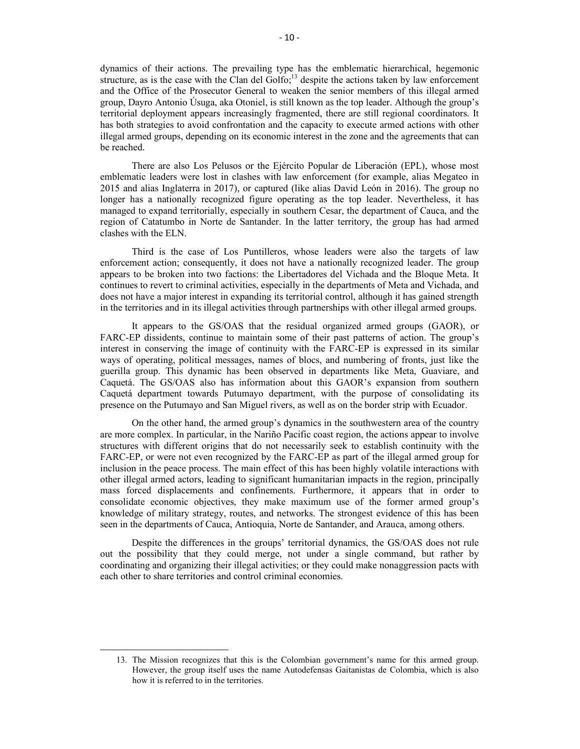dynamics of their actions. The prevailing type has the emblematic hierarchical, hegemonic structure, as is the case with the Clan del Golfo;<sup>13</sup> despite the actions taken by law enforcement and the Office of the Prosecutor General to weaken the senior members of this illegal armed group, Dayro Antonio Úsuga, aka Otoniel, is still known as the top leader. Although the group's territorial deployment appears increasingly fragmented, there are still regional coordinators. It has both strategies to avoid confrontation and the capacity to execute armed actions with other illegal armed groups, depending on its economic interest in the zone and the agreements that can be reached.

There are also Los Pelusos or the Ejército Popular de Liberación (EPL), whose most emblematic leaders were lost in clashes with law enforcement (for example, alias Megateo in 2015 and alias Inglaterra in 2017), or captured (like alias David León in 2016). The group no longer has a nationally recognized figure operating as the top leader. Nevertheless, it has managed to expand territorially, especially in southern Cesar, the department of Cauca, and the region of Catatumbo in Norte de Santander. In the latter territory, the group has had armed clashes with the ELN.

Third is the case of Los Puntilleros, whose leaders were also the targets of law enforcement action; consequently, it does not have a nationally recognized leader. The group appears to be broken into two factions: the Libertadores del Vichada and the Bloque Meta. It continues to revert to criminal activities, especially in the departments of Meta and Vichada, and does not have a major interest in expanding its territorial control, although it has gained strength in the territories and in its illegal activities through partnerships with other illegal armed groups.

It appears to the GS/OAS that the residual organized armed groups (GAOR), or FARC-EP dissidents, continue to maintain some of their past patterns of action. The group's interest in conserving the image of continuity with the FARC-EP is expressed in its similar ways of operating, political messages, names of blocs, and numbering of fronts, just like the guerilla group. This dynamic has been observed in departments like Meta, Guaviare, and Caquetá. The GS/OAS also has information about this GAOR's expansion from southern Caquetá department towards Putumayo department, with the purpose of consolidating its presence on the Putumayo and San Miguel rivers, as well as on the border strip with Ecuador.

On the other hand, the armed group's dynamics in the southwestern area of the country are more complex. In particular, in the Nariño Pacific coast region, the actions appear to involve structures with different origins that do not necessarily seek to establish continuity with the FARC-EP, or were not even recognized by the FARC-EP as part of the illegal armed group for inclusion in the peace process. The main effect of this has been highly volatile interactions with other illegal armed actors, leading to significant humanitarian impacts in the region, principally mass forced displacements and confinements. Furthermore, it appears that in order to consolidate economic objectives, they make maximum use of the former armed group's knowledge of military strategy, routes, and networks. The strongest evidence of this has been seen in the departments of Cauca, Antioquia, Norte de Santander, and Arauca, among others.

Despite the differences in the groups' territorial dynamics, the GS/OAS does not rule out the possibility that they could merge, not under a single command, but rather by coordinating and organizing their illegal activities; or they could make nonaggression pacts with each other to share territories and control criminal economies.

<sup>13.</sup> The Mission recognizes that this is the Colombian government's name for this armed group. However, the group itself uses the name Autodefensas Gaitanistas de Colombia, which is also how it is referred to in the territories.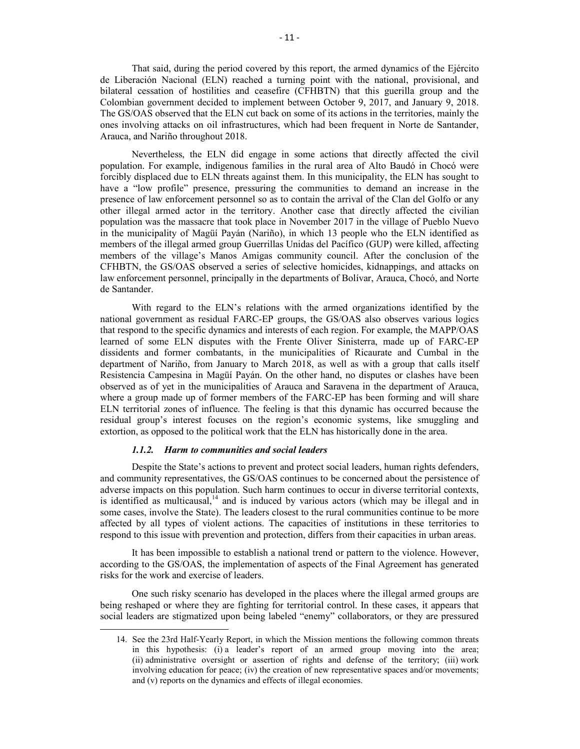That said, during the period covered by this report, the armed dynamics of the Ejército de Liberación Nacional (ELN) reached a turning point with the national, provisional, and bilateral cessation of hostilities and ceasefire (CFHBTN) that this guerilla group and the Colombian government decided to implement between October 9, 2017, and January 9, 2018. The GS/OAS observed that the ELN cut back on some of its actions in the territories, mainly the ones involving attacks on oil infrastructures, which had been frequent in Norte de Santander, Arauca, and Nariño throughout 2018.

Nevertheless, the ELN did engage in some actions that directly affected the civil population. For example, indigenous families in the rural area of Alto Baudó in Chocó were forcibly displaced due to ELN threats against them. In this municipality, the ELN has sought to have a "low profile" presence, pressuring the communities to demand an increase in the presence of law enforcement personnel so as to contain the arrival of the Clan del Golfo or any other illegal armed actor in the territory. Another case that directly affected the civilian population was the massacre that took place in November 2017 in the village of Pueblo Nuevo in the municipality of Magüí Payán (Nariño), in which 13 people who the ELN identified as members of the illegal armed group Guerrillas Unidas del Pacífico (GUP) were killed, affecting members of the village's Manos Amigas community council. After the conclusion of the CFHBTN, the GS/OAS observed a series of selective homicides, kidnappings, and attacks on law enforcement personnel, principally in the departments of Bolívar, Arauca, Chocó, and Norte de Santander.

With regard to the ELN's relations with the armed organizations identified by the national government as residual FARC-EP groups, the GS/OAS also observes various logics that respond to the specific dynamics and interests of each region. For example, the MAPP/OAS learned of some ELN disputes with the Frente Oliver Sinisterra, made up of FARC-EP dissidents and former combatants, in the municipalities of Ricaurate and Cumbal in the department of Nariño, from January to March 2018, as well as with a group that calls itself Resistencia Campesina in Magüí Payán. On the other hand, no disputes or clashes have been observed as of yet in the municipalities of Arauca and Saravena in the department of Arauca, where a group made up of former members of the FARC-EP has been forming and will share ELN territorial zones of influence. The feeling is that this dynamic has occurred because the residual group's interest focuses on the region's economic systems, like smuggling and extortion, as opposed to the political work that the ELN has historically done in the area.

### *1.1.2. Harm to communities and social leaders*

 $\overline{a}$ 

Despite the State's actions to prevent and protect social leaders, human rights defenders, and community representatives, the GS/OAS continues to be concerned about the persistence of adverse impacts on this population. Such harm continues to occur in diverse territorial contexts, is identified as multicausal, $<sup>14</sup>$  and is induced by various actors (which may be illegal and in</sup> some cases, involve the State). The leaders closest to the rural communities continue to be more affected by all types of violent actions. The capacities of institutions in these territories to respond to this issue with prevention and protection, differs from their capacities in urban areas.

It has been impossible to establish a national trend or pattern to the violence. However, according to the GS/OAS, the implementation of aspects of the Final Agreement has generated risks for the work and exercise of leaders.

One such risky scenario has developed in the places where the illegal armed groups are being reshaped or where they are fighting for territorial control. In these cases, it appears that social leaders are stigmatized upon being labeled "enemy" collaborators, or they are pressured

<sup>14.</sup> See the 23rd Half-Yearly Report, in which the Mission mentions the following common threats in this hypothesis: (i) a leader's report of an armed group moving into the area; (ii) administrative oversight or assertion of rights and defense of the territory; (iii) work involving education for peace; (iv) the creation of new representative spaces and/or movements; and (v) reports on the dynamics and effects of illegal economies.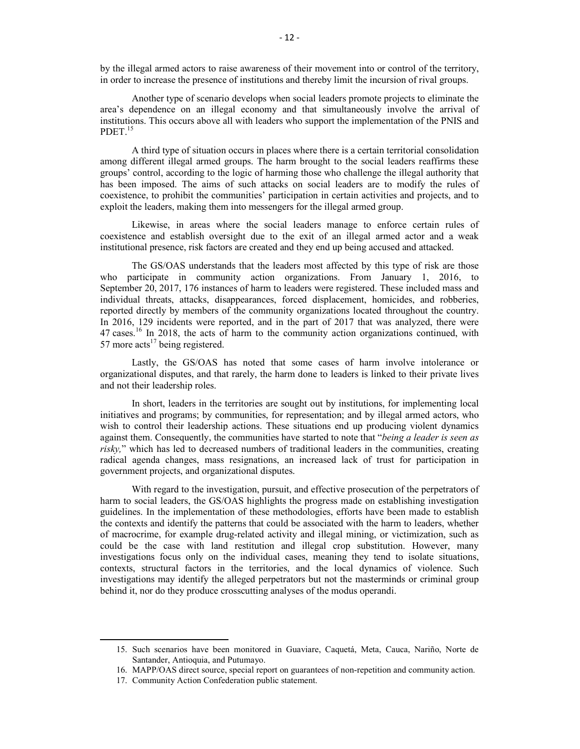by the illegal armed actors to raise awareness of their movement into or control of the territory, in order to increase the presence of institutions and thereby limit the incursion of rival groups.

Another type of scenario develops when social leaders promote projects to eliminate the area's dependence on an illegal economy and that simultaneously involve the arrival of institutions. This occurs above all with leaders who support the implementation of the PNIS and PDET.<sup>15</sup>

A third type of situation occurs in places where there is a certain territorial consolidation among different illegal armed groups. The harm brought to the social leaders reaffirms these groups' control, according to the logic of harming those who challenge the illegal authority that has been imposed. The aims of such attacks on social leaders are to modify the rules of coexistence, to prohibit the communities' participation in certain activities and projects, and to exploit the leaders, making them into messengers for the illegal armed group.

Likewise, in areas where the social leaders manage to enforce certain rules of coexistence and establish oversight due to the exit of an illegal armed actor and a weak institutional presence, risk factors are created and they end up being accused and attacked.

The GS/OAS understands that the leaders most affected by this type of risk are those who participate in community action organizations. From January 1, 2016, to September 20, 2017, 176 instances of harm to leaders were registered. These included mass and individual threats, attacks, disappearances, forced displacement, homicides, and robberies, reported directly by members of the community organizations located throughout the country. In 2016, 129 incidents were reported, and in the part of 2017 that was analyzed, there were 47 cases.<sup>16</sup> In 2018, the acts of harm to the community action organizations continued, with 57 more  $\arctan^{17}$  being registered.

Lastly, the GS/OAS has noted that some cases of harm involve intolerance or organizational disputes, and that rarely, the harm done to leaders is linked to their private lives and not their leadership roles.

In short, leaders in the territories are sought out by institutions, for implementing local initiatives and programs; by communities, for representation; and by illegal armed actors, who wish to control their leadership actions. These situations end up producing violent dynamics against them. Consequently, the communities have started to note that "*being a leader is seen as risky,*" which has led to decreased numbers of traditional leaders in the communities, creating radical agenda changes, mass resignations, an increased lack of trust for participation in government projects, and organizational disputes.

With regard to the investigation, pursuit, and effective prosecution of the perpetrators of harm to social leaders, the GS/OAS highlights the progress made on establishing investigation guidelines. In the implementation of these methodologies, efforts have been made to establish the contexts and identify the patterns that could be associated with the harm to leaders, whether of macrocrime, for example drug-related activity and illegal mining, or victimization, such as could be the case with land restitution and illegal crop substitution. However, many investigations focus only on the individual cases, meaning they tend to isolate situations, contexts, structural factors in the territories, and the local dynamics of violence. Such investigations may identify the alleged perpetrators but not the masterminds or criminal group behind it, nor do they produce crosscutting analyses of the modus operandi.

<sup>15.</sup> Such scenarios have been monitored in Guaviare, Caquetá, Meta, Cauca, Nariño, Norte de Santander, Antioquia, and Putumayo.

<sup>16.</sup> MAPP/OAS direct source, special report on guarantees of non-repetition and community action.

<sup>17.</sup> Community Action Confederation public statement.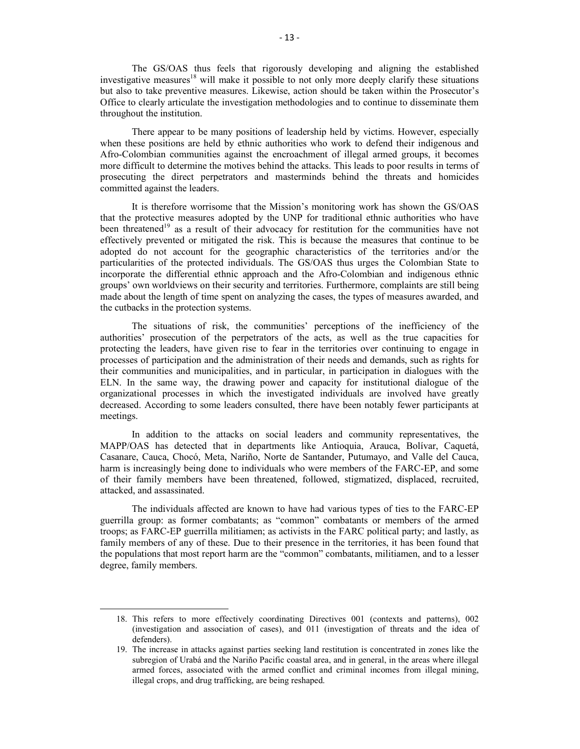The GS/OAS thus feels that rigorously developing and aligning the established investigative measures<sup>18</sup> will make it possible to not only more deeply clarify these situations but also to take preventive measures. Likewise, action should be taken within the Prosecutor's Office to clearly articulate the investigation methodologies and to continue to disseminate them throughout the institution.

There appear to be many positions of leadership held by victims. However, especially when these positions are held by ethnic authorities who work to defend their indigenous and Afro-Colombian communities against the encroachment of illegal armed groups, it becomes more difficult to determine the motives behind the attacks. This leads to poor results in terms of prosecuting the direct perpetrators and masterminds behind the threats and homicides committed against the leaders.

It is therefore worrisome that the Mission's monitoring work has shown the GS/OAS that the protective measures adopted by the UNP for traditional ethnic authorities who have been threatened<sup>19</sup> as a result of their advocacy for restitution for the communities have not effectively prevented or mitigated the risk. This is because the measures that continue to be adopted do not account for the geographic characteristics of the territories and/or the particularities of the protected individuals. The GS/OAS thus urges the Colombian State to incorporate the differential ethnic approach and the Afro-Colombian and indigenous ethnic groups' own worldviews on their security and territories. Furthermore, complaints are still being made about the length of time spent on analyzing the cases, the types of measures awarded, and the cutbacks in the protection systems.

The situations of risk, the communities' perceptions of the inefficiency of the authorities' prosecution of the perpetrators of the acts, as well as the true capacities for protecting the leaders, have given rise to fear in the territories over continuing to engage in processes of participation and the administration of their needs and demands, such as rights for their communities and municipalities, and in particular, in participation in dialogues with the ELN. In the same way, the drawing power and capacity for institutional dialogue of the organizational processes in which the investigated individuals are involved have greatly decreased. According to some leaders consulted, there have been notably fewer participants at meetings.

In addition to the attacks on social leaders and community representatives, the MAPP/OAS has detected that in departments like Antioquia, Arauca, Bolívar, Caquetá, Casanare, Cauca, Chocó, Meta, Nariño, Norte de Santander, Putumayo, and Valle del Cauca, harm is increasingly being done to individuals who were members of the FARC-EP, and some of their family members have been threatened, followed, stigmatized, displaced, recruited, attacked, and assassinated.

The individuals affected are known to have had various types of ties to the FARC-EP guerrilla group: as former combatants; as "common" combatants or members of the armed troops; as FARC-EP guerrilla militiamen; as activists in the FARC political party; and lastly, as family members of any of these. Due to their presence in the territories, it has been found that the populations that most report harm are the "common" combatants, militiamen, and to a lesser degree, family members.

<sup>18.</sup> This refers to more effectively coordinating Directives 001 (contexts and patterns), 002 (investigation and association of cases), and 011 (investigation of threats and the idea of defenders).

<sup>19.</sup> The increase in attacks against parties seeking land restitution is concentrated in zones like the subregion of Urabá and the Nariño Pacific coastal area, and in general, in the areas where illegal armed forces, associated with the armed conflict and criminal incomes from illegal mining, illegal crops, and drug trafficking, are being reshaped.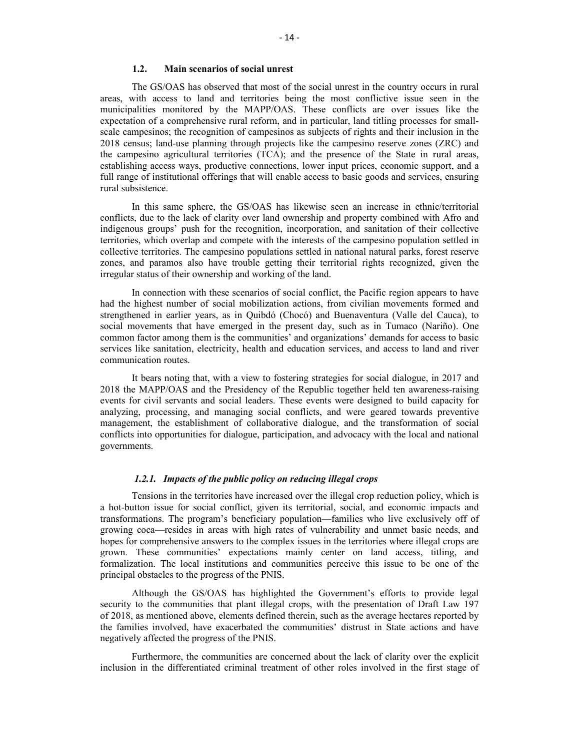#### **1.2. Main scenarios of social unrest**

The GS/OAS has observed that most of the social unrest in the country occurs in rural areas, with access to land and territories being the most conflictive issue seen in the municipalities monitored by the MAPP/OAS. These conflicts are over issues like the expectation of a comprehensive rural reform, and in particular, land titling processes for smallscale campesinos; the recognition of campesinos as subjects of rights and their inclusion in the 2018 census; land-use planning through projects like the campesino reserve zones (ZRC) and the campesino agricultural territories (TCA); and the presence of the State in rural areas, establishing access ways, productive connections, lower input prices, economic support, and a full range of institutional offerings that will enable access to basic goods and services, ensuring rural subsistence.

In this same sphere, the GS/OAS has likewise seen an increase in ethnic/territorial conflicts, due to the lack of clarity over land ownership and property combined with Afro and indigenous groups' push for the recognition, incorporation, and sanitation of their collective territories, which overlap and compete with the interests of the campesino population settled in collective territories. The campesino populations settled in national natural parks, forest reserve zones, and paramos also have trouble getting their territorial rights recognized, given the irregular status of their ownership and working of the land.

In connection with these scenarios of social conflict, the Pacific region appears to have had the highest number of social mobilization actions, from civilian movements formed and strengthened in earlier years, as in Quibdó (Chocó) and Buenaventura (Valle del Cauca), to social movements that have emerged in the present day, such as in Tumaco (Nariño). One common factor among them is the communities' and organizations' demands for access to basic services like sanitation, electricity, health and education services, and access to land and river communication routes.

It bears noting that, with a view to fostering strategies for social dialogue, in 2017 and 2018 the MAPP/OAS and the Presidency of the Republic together held ten awareness-raising events for civil servants and social leaders. These events were designed to build capacity for analyzing, processing, and managing social conflicts, and were geared towards preventive management, the establishment of collaborative dialogue, and the transformation of social conflicts into opportunities for dialogue, participation, and advocacy with the local and national governments.

#### *1.2.1. Impacts of the public policy on reducing illegal crops*

Tensions in the territories have increased over the illegal crop reduction policy, which is a hot-button issue for social conflict, given its territorial, social, and economic impacts and transformations. The program's beneficiary population—families who live exclusively off of growing coca—resides in areas with high rates of vulnerability and unmet basic needs, and hopes for comprehensive answers to the complex issues in the territories where illegal crops are grown. These communities' expectations mainly center on land access, titling, and formalization. The local institutions and communities perceive this issue to be one of the principal obstacles to the progress of the PNIS.

Although the GS/OAS has highlighted the Government's efforts to provide legal security to the communities that plant illegal crops, with the presentation of Draft Law 197 of 2018, as mentioned above, elements defined therein, such as the average hectares reported by the families involved, have exacerbated the communities' distrust in State actions and have negatively affected the progress of the PNIS.

Furthermore, the communities are concerned about the lack of clarity over the explicit inclusion in the differentiated criminal treatment of other roles involved in the first stage of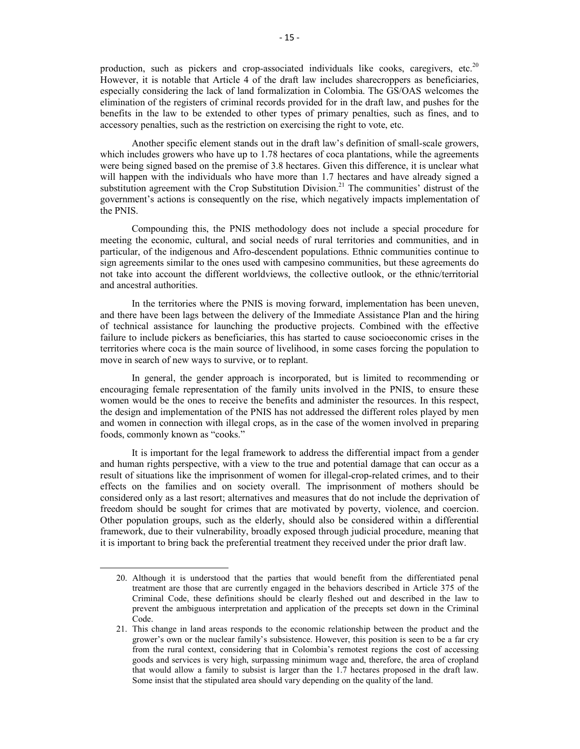production, such as pickers and crop-associated individuals like cooks, caregivers, etc.<sup>20</sup> However, it is notable that Article 4 of the draft law includes sharecroppers as beneficiaries, especially considering the lack of land formalization in Colombia. The GS/OAS welcomes the elimination of the registers of criminal records provided for in the draft law, and pushes for the benefits in the law to be extended to other types of primary penalties, such as fines, and to accessory penalties, such as the restriction on exercising the right to vote, etc.

Another specific element stands out in the draft law's definition of small-scale growers, which includes growers who have up to 1.78 hectares of coca plantations, while the agreements were being signed based on the premise of 3.8 hectares. Given this difference, it is unclear what will happen with the individuals who have more than 1.7 hectares and have already signed a substitution agreement with the Crop Substitution Division.<sup>21</sup> The communities' distrust of the government's actions is consequently on the rise, which negatively impacts implementation of the PNIS.

Compounding this, the PNIS methodology does not include a special procedure for meeting the economic, cultural, and social needs of rural territories and communities, and in particular, of the indigenous and Afro-descendent populations. Ethnic communities continue to sign agreements similar to the ones used with campesino communities, but these agreements do not take into account the different worldviews, the collective outlook, or the ethnic/territorial and ancestral authorities.

In the territories where the PNIS is moving forward, implementation has been uneven, and there have been lags between the delivery of the Immediate Assistance Plan and the hiring of technical assistance for launching the productive projects. Combined with the effective failure to include pickers as beneficiaries, this has started to cause socioeconomic crises in the territories where coca is the main source of livelihood, in some cases forcing the population to move in search of new ways to survive, or to replant.

In general, the gender approach is incorporated, but is limited to recommending or encouraging female representation of the family units involved in the PNIS, to ensure these women would be the ones to receive the benefits and administer the resources. In this respect, the design and implementation of the PNIS has not addressed the different roles played by men and women in connection with illegal crops, as in the case of the women involved in preparing foods, commonly known as "cooks."

It is important for the legal framework to address the differential impact from a gender and human rights perspective, with a view to the true and potential damage that can occur as a result of situations like the imprisonment of women for illegal-crop-related crimes, and to their effects on the families and on society overall. The imprisonment of mothers should be considered only as a last resort; alternatives and measures that do not include the deprivation of freedom should be sought for crimes that are motivated by poverty, violence, and coercion. Other population groups, such as the elderly, should also be considered within a differential framework, due to their vulnerability, broadly exposed through judicial procedure, meaning that it is important to bring back the preferential treatment they received under the prior draft law.

<sup>20.</sup> Although it is understood that the parties that would benefit from the differentiated penal treatment are those that are currently engaged in the behaviors described in Article 375 of the Criminal Code, these definitions should be clearly fleshed out and described in the law to prevent the ambiguous interpretation and application of the precepts set down in the Criminal Code.

<sup>21.</sup> This change in land areas responds to the economic relationship between the product and the grower's own or the nuclear family's subsistence. However, this position is seen to be a far cry from the rural context, considering that in Colombia's remotest regions the cost of accessing goods and services is very high, surpassing minimum wage and, therefore, the area of cropland that would allow a family to subsist is larger than the 1.7 hectares proposed in the draft law. Some insist that the stipulated area should vary depending on the quality of the land.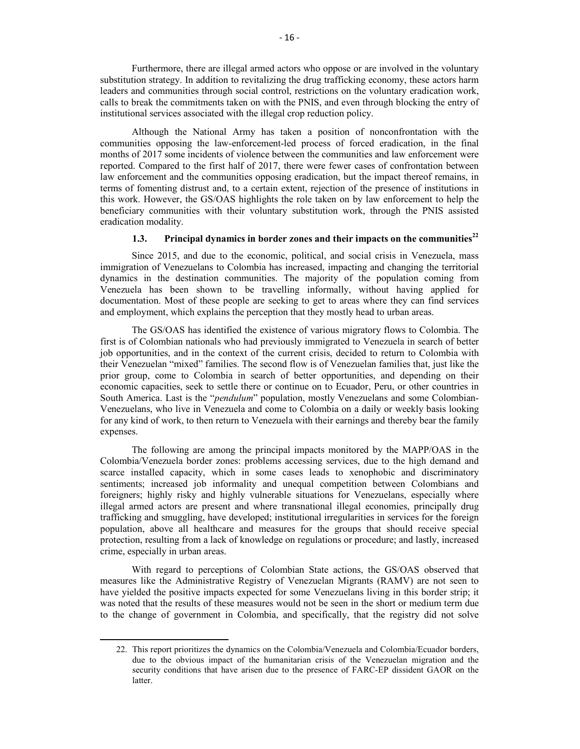Furthermore, there are illegal armed actors who oppose or are involved in the voluntary substitution strategy. In addition to revitalizing the drug trafficking economy, these actors harm leaders and communities through social control, restrictions on the voluntary eradication work, calls to break the commitments taken on with the PNIS, and even through blocking the entry of institutional services associated with the illegal crop reduction policy.

Although the National Army has taken a position of nonconfrontation with the communities opposing the law-enforcement-led process of forced eradication, in the final months of 2017 some incidents of violence between the communities and law enforcement were reported. Compared to the first half of 2017, there were fewer cases of confrontation between law enforcement and the communities opposing eradication, but the impact thereof remains, in terms of fomenting distrust and, to a certain extent, rejection of the presence of institutions in this work. However, the GS/OAS highlights the role taken on by law enforcement to help the beneficiary communities with their voluntary substitution work, through the PNIS assisted eradication modality.

#### **1.3. Principal dynamics in border zones and their impacts on the communities<sup>22</sup>**

Since 2015, and due to the economic, political, and social crisis in Venezuela, mass immigration of Venezuelans to Colombia has increased, impacting and changing the territorial dynamics in the destination communities. The majority of the population coming from Venezuela has been shown to be travelling informally, without having applied for documentation. Most of these people are seeking to get to areas where they can find services and employment, which explains the perception that they mostly head to urban areas.

The GS/OAS has identified the existence of various migratory flows to Colombia. The first is of Colombian nationals who had previously immigrated to Venezuela in search of better job opportunities, and in the context of the current crisis, decided to return to Colombia with their Venezuelan "mixed" families. The second flow is of Venezuelan families that, just like the prior group, come to Colombia in search of better opportunities, and depending on their economic capacities, seek to settle there or continue on to Ecuador, Peru, or other countries in South America. Last is the "*pendulum*" population, mostly Venezuelans and some Colombian-Venezuelans, who live in Venezuela and come to Colombia on a daily or weekly basis looking for any kind of work, to then return to Venezuela with their earnings and thereby bear the family expenses.

The following are among the principal impacts monitored by the MAPP/OAS in the Colombia/Venezuela border zones: problems accessing services, due to the high demand and scarce installed capacity, which in some cases leads to xenophobic and discriminatory sentiments; increased job informality and unequal competition between Colombians and foreigners; highly risky and highly vulnerable situations for Venezuelans, especially where illegal armed actors are present and where transnational illegal economies, principally drug trafficking and smuggling, have developed; institutional irregularities in services for the foreign population, above all healthcare and measures for the groups that should receive special protection, resulting from a lack of knowledge on regulations or procedure; and lastly, increased crime, especially in urban areas.

With regard to perceptions of Colombian State actions, the GS/OAS observed that measures like the Administrative Registry of Venezuelan Migrants (RAMV) are not seen to have yielded the positive impacts expected for some Venezuelans living in this border strip; it was noted that the results of these measures would not be seen in the short or medium term due to the change of government in Colombia, and specifically, that the registry did not solve

<sup>22.</sup> This report prioritizes the dynamics on the Colombia/Venezuela and Colombia/Ecuador borders, due to the obvious impact of the humanitarian crisis of the Venezuelan migration and the security conditions that have arisen due to the presence of FARC-EP dissident GAOR on the latter.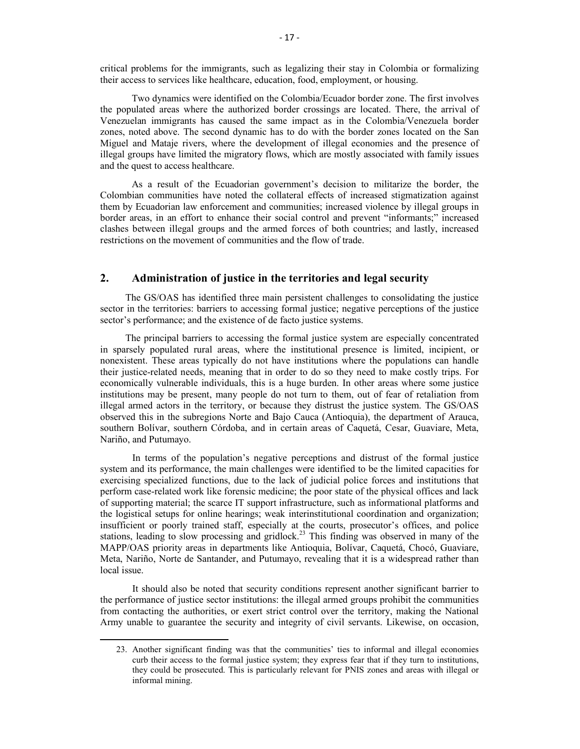critical problems for the immigrants, such as legalizing their stay in Colombia or formalizing their access to services like healthcare, education, food, employment, or housing.

Two dynamics were identified on the Colombia/Ecuador border zone. The first involves the populated areas where the authorized border crossings are located. There, the arrival of Venezuelan immigrants has caused the same impact as in the Colombia/Venezuela border zones, noted above. The second dynamic has to do with the border zones located on the San Miguel and Mataje rivers, where the development of illegal economies and the presence of illegal groups have limited the migratory flows, which are mostly associated with family issues and the quest to access healthcare.

As a result of the Ecuadorian government's decision to militarize the border, the Colombian communities have noted the collateral effects of increased stigmatization against them by Ecuadorian law enforcement and communities; increased violence by illegal groups in border areas, in an effort to enhance their social control and prevent "informants;" increased clashes between illegal groups and the armed forces of both countries; and lastly, increased restrictions on the movement of communities and the flow of trade.

# **2. Administration of justice in the territories and legal security**

The GS/OAS has identified three main persistent challenges to consolidating the justice sector in the territories: barriers to accessing formal justice; negative perceptions of the justice sector's performance; and the existence of de facto justice systems.

The principal barriers to accessing the formal justice system are especially concentrated in sparsely populated rural areas, where the institutional presence is limited, incipient, or nonexistent. These areas typically do not have institutions where the populations can handle their justice-related needs, meaning that in order to do so they need to make costly trips. For economically vulnerable individuals, this is a huge burden. In other areas where some justice institutions may be present, many people do not turn to them, out of fear of retaliation from illegal armed actors in the territory, or because they distrust the justice system. The GS/OAS observed this in the subregions Norte and Bajo Cauca (Antioquia), the department of Arauca, southern Bolívar, southern Córdoba, and in certain areas of Caquetá, Cesar, Guaviare, Meta, Nariño, and Putumayo.

 In terms of the population's negative perceptions and distrust of the formal justice system and its performance, the main challenges were identified to be the limited capacities for exercising specialized functions, due to the lack of judicial police forces and institutions that perform case-related work like forensic medicine; the poor state of the physical offices and lack of supporting material; the scarce IT support infrastructure, such as informational platforms and the logistical setups for online hearings; weak interinstitutional coordination and organization; insufficient or poorly trained staff, especially at the courts, prosecutor's offices, and police stations, leading to slow processing and gridlock.<sup>23</sup> This finding was observed in many of the MAPP/OAS priority areas in departments like Antioquia, Bolívar, Caquetá, Chocó, Guaviare, Meta, Nariño, Norte de Santander, and Putumayo, revealing that it is a widespread rather than local issue.

 It should also be noted that security conditions represent another significant barrier to the performance of justice sector institutions: the illegal armed groups prohibit the communities from contacting the authorities, or exert strict control over the territory, making the National Army unable to guarantee the security and integrity of civil servants. Likewise, on occasion,

<sup>23.</sup> Another significant finding was that the communities' ties to informal and illegal economies curb their access to the formal justice system; they express fear that if they turn to institutions, they could be prosecuted. This is particularly relevant for PNIS zones and areas with illegal or informal mining.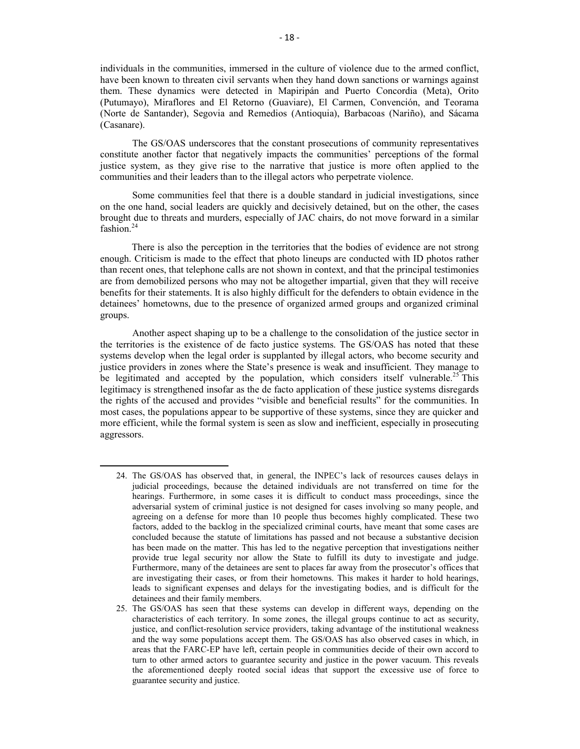individuals in the communities, immersed in the culture of violence due to the armed conflict, have been known to threaten civil servants when they hand down sanctions or warnings against them. These dynamics were detected in Mapiripán and Puerto Concordia (Meta), Orito (Putumayo), Miraflores and El Retorno (Guaviare), El Carmen, Convención, and Teorama (Norte de Santander), Segovia and Remedios (Antioquia), Barbacoas (Nariño), and Sácama (Casanare).

 The GS/OAS underscores that the constant prosecutions of community representatives constitute another factor that negatively impacts the communities' perceptions of the formal justice system, as they give rise to the narrative that justice is more often applied to the communities and their leaders than to the illegal actors who perpetrate violence.

 Some communities feel that there is a double standard in judicial investigations, since on the one hand, social leaders are quickly and decisively detained, but on the other, the cases brought due to threats and murders, especially of JAC chairs, do not move forward in a similar fashion.<sup>24</sup>

There is also the perception in the territories that the bodies of evidence are not strong enough. Criticism is made to the effect that photo lineups are conducted with ID photos rather than recent ones, that telephone calls are not shown in context, and that the principal testimonies are from demobilized persons who may not be altogether impartial, given that they will receive benefits for their statements. It is also highly difficult for the defenders to obtain evidence in the detainees' hometowns, due to the presence of organized armed groups and organized criminal groups.

 Another aspect shaping up to be a challenge to the consolidation of the justice sector in the territories is the existence of de facto justice systems. The GS/OAS has noted that these systems develop when the legal order is supplanted by illegal actors, who become security and justice providers in zones where the State's presence is weak and insufficient. They manage to be legitimated and accepted by the population, which considers itself vulnerable.<sup>25</sup> This legitimacy is strengthened insofar as the de facto application of these justice systems disregards the rights of the accused and provides "visible and beneficial results" for the communities. In most cases, the populations appear to be supportive of these systems, since they are quicker and more efficient, while the formal system is seen as slow and inefficient, especially in prosecuting aggressors.

<sup>24.</sup> The GS/OAS has observed that, in general, the INPEC's lack of resources causes delays in judicial proceedings, because the detained individuals are not transferred on time for the hearings. Furthermore, in some cases it is difficult to conduct mass proceedings, since the adversarial system of criminal justice is not designed for cases involving so many people, and agreeing on a defense for more than 10 people thus becomes highly complicated. These two factors, added to the backlog in the specialized criminal courts, have meant that some cases are concluded because the statute of limitations has passed and not because a substantive decision has been made on the matter. This has led to the negative perception that investigations neither provide true legal security nor allow the State to fulfill its duty to investigate and judge. Furthermore, many of the detainees are sent to places far away from the prosecutor's offices that are investigating their cases, or from their hometowns. This makes it harder to hold hearings, leads to significant expenses and delays for the investigating bodies, and is difficult for the detainees and their family members.

<sup>25.</sup> The GS/OAS has seen that these systems can develop in different ways, depending on the characteristics of each territory. In some zones, the illegal groups continue to act as security, justice, and conflict-resolution service providers, taking advantage of the institutional weakness and the way some populations accept them. The GS/OAS has also observed cases in which, in areas that the FARC-EP have left, certain people in communities decide of their own accord to turn to other armed actors to guarantee security and justice in the power vacuum. This reveals the aforementioned deeply rooted social ideas that support the excessive use of force to guarantee security and justice.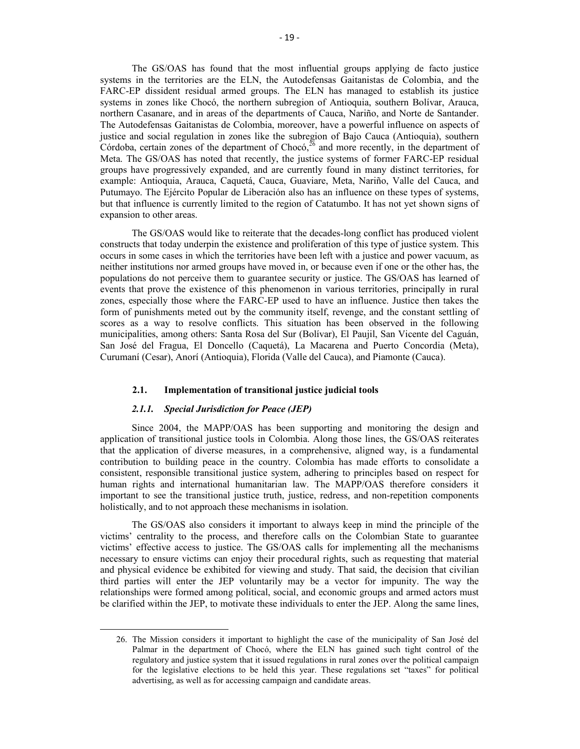The GS/OAS has found that the most influential groups applying de facto justice systems in the territories are the ELN, the Autodefensas Gaitanistas de Colombia, and the FARC-EP dissident residual armed groups. The ELN has managed to establish its justice systems in zones like Chocó, the northern subregion of Antioquia, southern Bolívar, Arauca, northern Casanare, and in areas of the departments of Cauca, Nariño, and Norte de Santander. The Autodefensas Gaitanistas de Colombia, moreover, have a powerful influence on aspects of justice and social regulation in zones like the subregion of Bajo Cauca (Antioquia), southern Córdoba, certain zones of the department of Chocó,  $^{26}$  and more recently, in the department of Meta. The GS/OAS has noted that recently, the justice systems of former FARC-EP residual groups have progressively expanded, and are currently found in many distinct territories, for example: Antioquia, Arauca, Caquetá, Cauca, Guaviare, Meta, Nariño, Valle del Cauca, and Putumayo. The Ejército Popular de Liberación also has an influence on these types of systems, but that influence is currently limited to the region of Catatumbo. It has not yet shown signs of expansion to other areas.

The GS/OAS would like to reiterate that the decades-long conflict has produced violent constructs that today underpin the existence and proliferation of this type of justice system. This occurs in some cases in which the territories have been left with a justice and power vacuum, as neither institutions nor armed groups have moved in, or because even if one or the other has, the populations do not perceive them to guarantee security or justice. The GS/OAS has learned of events that prove the existence of this phenomenon in various territories, principally in rural zones, especially those where the FARC-EP used to have an influence. Justice then takes the form of punishments meted out by the community itself, revenge, and the constant settling of scores as a way to resolve conflicts. This situation has been observed in the following municipalities, among others: Santa Rosa del Sur (Bolívar), El Paujil, San Vicente del Caguán, San José del Fragua, El Doncello (Caquetá), La Macarena and Puerto Concordia (Meta), Curumaní (Cesar), Anorí (Antioquia), Florida (Valle del Cauca), and Piamonte (Cauca).

# **2.1. Implementation of transitional justice judicial tools**

#### *2.1.1. Special Jurisdiction for Peace (JEP)*

 $\overline{a}$ 

Since 2004, the MAPP/OAS has been supporting and monitoring the design and application of transitional justice tools in Colombia. Along those lines, the GS/OAS reiterates that the application of diverse measures, in a comprehensive, aligned way, is a fundamental contribution to building peace in the country. Colombia has made efforts to consolidate a consistent, responsible transitional justice system, adhering to principles based on respect for human rights and international humanitarian law. The MAPP/OAS therefore considers it important to see the transitional justice truth, justice, redress, and non-repetition components holistically, and to not approach these mechanisms in isolation.

The GS/OAS also considers it important to always keep in mind the principle of the victims' centrality to the process, and therefore calls on the Colombian State to guarantee victims' effective access to justice. The GS/OAS calls for implementing all the mechanisms necessary to ensure victims can enjoy their procedural rights, such as requesting that material and physical evidence be exhibited for viewing and study. That said, the decision that civilian third parties will enter the JEP voluntarily may be a vector for impunity. The way the relationships were formed among political, social, and economic groups and armed actors must be clarified within the JEP, to motivate these individuals to enter the JEP. Along the same lines,

<sup>26.</sup> The Mission considers it important to highlight the case of the municipality of San José del Palmar in the department of Chocó, where the ELN has gained such tight control of the regulatory and justice system that it issued regulations in rural zones over the political campaign for the legislative elections to be held this year. These regulations set "taxes" for political advertising, as well as for accessing campaign and candidate areas.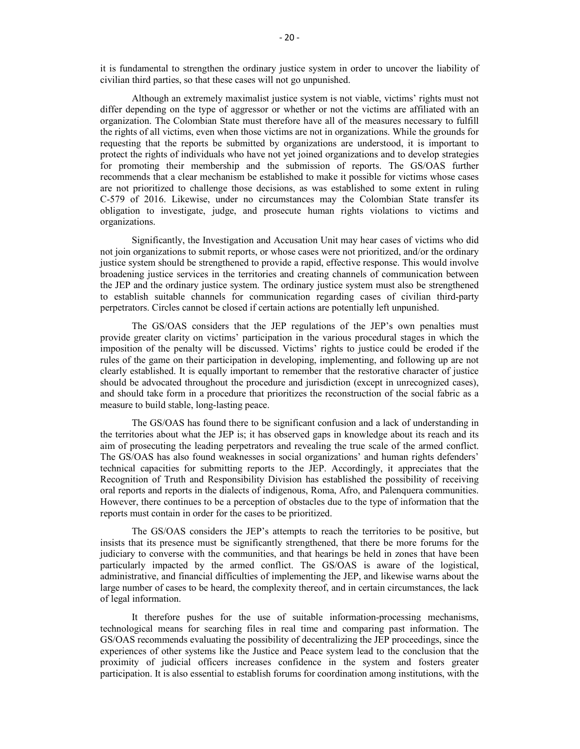it is fundamental to strengthen the ordinary justice system in order to uncover the liability of civilian third parties, so that these cases will not go unpunished.

Although an extremely maximalist justice system is not viable, victims' rights must not differ depending on the type of aggressor or whether or not the victims are affiliated with an organization. The Colombian State must therefore have all of the measures necessary to fulfill the rights of all victims, even when those victims are not in organizations. While the grounds for requesting that the reports be submitted by organizations are understood, it is important to protect the rights of individuals who have not yet joined organizations and to develop strategies for promoting their membership and the submission of reports. The GS/OAS further recommends that a clear mechanism be established to make it possible for victims whose cases are not prioritized to challenge those decisions, as was established to some extent in ruling C-579 of 2016. Likewise, under no circumstances may the Colombian State transfer its obligation to investigate, judge, and prosecute human rights violations to victims and organizations.

Significantly, the Investigation and Accusation Unit may hear cases of victims who did not join organizations to submit reports, or whose cases were not prioritized, and/or the ordinary justice system should be strengthened to provide a rapid, effective response. This would involve broadening justice services in the territories and creating channels of communication between the JEP and the ordinary justice system. The ordinary justice system must also be strengthened to establish suitable channels for communication regarding cases of civilian third-party perpetrators. Circles cannot be closed if certain actions are potentially left unpunished.

The GS/OAS considers that the JEP regulations of the JEP's own penalties must provide greater clarity on victims' participation in the various procedural stages in which the imposition of the penalty will be discussed. Victims' rights to justice could be eroded if the rules of the game on their participation in developing, implementing, and following up are not clearly established. It is equally important to remember that the restorative character of justice should be advocated throughout the procedure and jurisdiction (except in unrecognized cases), and should take form in a procedure that prioritizes the reconstruction of the social fabric as a measure to build stable, long-lasting peace.

The GS/OAS has found there to be significant confusion and a lack of understanding in the territories about what the JEP is; it has observed gaps in knowledge about its reach and its aim of prosecuting the leading perpetrators and revealing the true scale of the armed conflict. The GS/OAS has also found weaknesses in social organizations' and human rights defenders' technical capacities for submitting reports to the JEP. Accordingly, it appreciates that the Recognition of Truth and Responsibility Division has established the possibility of receiving oral reports and reports in the dialects of indigenous, Roma, Afro, and Palenquera communities. However, there continues to be a perception of obstacles due to the type of information that the reports must contain in order for the cases to be prioritized.

The GS/OAS considers the JEP's attempts to reach the territories to be positive, but insists that its presence must be significantly strengthened, that there be more forums for the judiciary to converse with the communities, and that hearings be held in zones that have been particularly impacted by the armed conflict. The GS/OAS is aware of the logistical, administrative, and financial difficulties of implementing the JEP, and likewise warns about the large number of cases to be heard, the complexity thereof, and in certain circumstances, the lack of legal information.

It therefore pushes for the use of suitable information-processing mechanisms, technological means for searching files in real time and comparing past information. The GS/OAS recommends evaluating the possibility of decentralizing the JEP proceedings, since the experiences of other systems like the Justice and Peace system lead to the conclusion that the proximity of judicial officers increases confidence in the system and fosters greater participation. It is also essential to establish forums for coordination among institutions, with the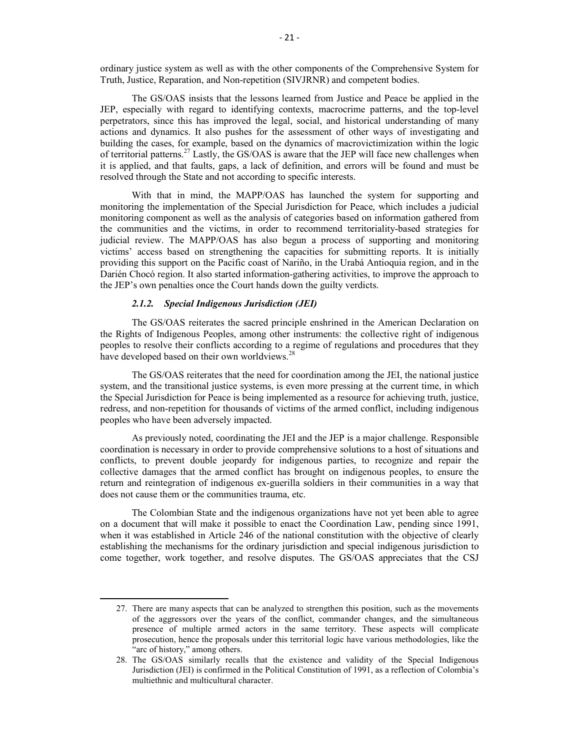ordinary justice system as well as with the other components of the Comprehensive System for Truth, Justice, Reparation, and Non-repetition (SIVJRNR) and competent bodies.

The GS/OAS insists that the lessons learned from Justice and Peace be applied in the JEP, especially with regard to identifying contexts, macrocrime patterns, and the top-level perpetrators, since this has improved the legal, social, and historical understanding of many actions and dynamics. It also pushes for the assessment of other ways of investigating and building the cases, for example, based on the dynamics of macrovictimization within the logic of territorial patterns.<sup>27</sup> Lastly, the GS/OAS is aware that the JEP will face new challenges when it is applied, and that faults, gaps, a lack of definition, and errors will be found and must be resolved through the State and not according to specific interests.

With that in mind, the MAPP/OAS has launched the system for supporting and monitoring the implementation of the Special Jurisdiction for Peace, which includes a judicial monitoring component as well as the analysis of categories based on information gathered from the communities and the victims, in order to recommend territoriality-based strategies for judicial review. The MAPP/OAS has also begun a process of supporting and monitoring victims' access based on strengthening the capacities for submitting reports. It is initially providing this support on the Pacific coast of Nariño, in the Urabá Antioquia region, and in the Darién Chocó region. It also started information-gathering activities, to improve the approach to the JEP's own penalties once the Court hands down the guilty verdicts.

### *2.1.2. Special Indigenous Jurisdiction (JEI)*

 $\overline{a}$ 

The GS/OAS reiterates the sacred principle enshrined in the American Declaration on the Rights of Indigenous Peoples, among other instruments: the collective right of indigenous peoples to resolve their conflicts according to a regime of regulations and procedures that they have developed based on their own worldviews.<sup>28</sup>

The GS/OAS reiterates that the need for coordination among the JEI, the national justice system, and the transitional justice systems, is even more pressing at the current time, in which the Special Jurisdiction for Peace is being implemented as a resource for achieving truth, justice, redress, and non-repetition for thousands of victims of the armed conflict, including indigenous peoples who have been adversely impacted.

As previously noted, coordinating the JEI and the JEP is a major challenge. Responsible coordination is necessary in order to provide comprehensive solutions to a host of situations and conflicts, to prevent double jeopardy for indigenous parties, to recognize and repair the collective damages that the armed conflict has brought on indigenous peoples, to ensure the return and reintegration of indigenous ex-guerilla soldiers in their communities in a way that does not cause them or the communities trauma, etc.

The Colombian State and the indigenous organizations have not yet been able to agree on a document that will make it possible to enact the Coordination Law, pending since 1991, when it was established in Article 246 of the national constitution with the objective of clearly establishing the mechanisms for the ordinary jurisdiction and special indigenous jurisdiction to come together, work together, and resolve disputes. The GS/OAS appreciates that the CSJ

<sup>27.</sup> There are many aspects that can be analyzed to strengthen this position, such as the movements of the aggressors over the years of the conflict, commander changes, and the simultaneous presence of multiple armed actors in the same territory. These aspects will complicate prosecution, hence the proposals under this territorial logic have various methodologies, like the "arc of history," among others.

<sup>28.</sup> The GS/OAS similarly recalls that the existence and validity of the Special Indigenous Jurisdiction (JEI) is confirmed in the Political Constitution of 1991, as a reflection of Colombia's multiethnic and multicultural character.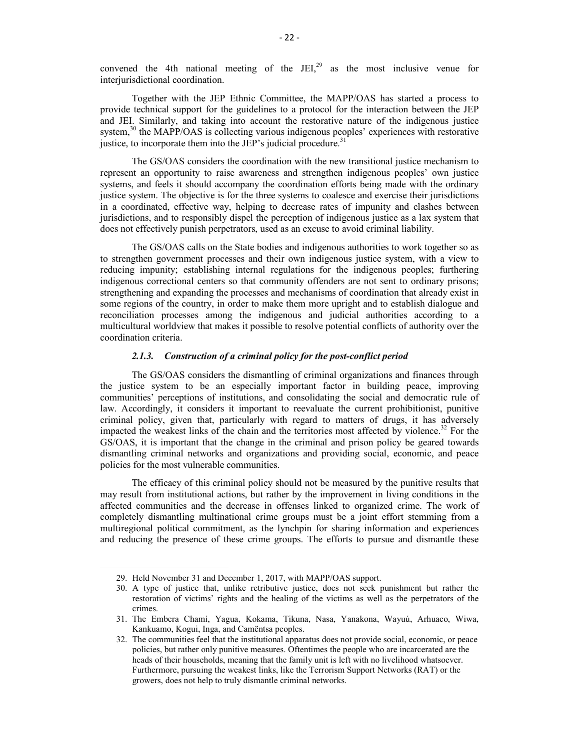convened the 4th national meeting of the JEI, $^{29}$  as the most inclusive venue for interiurisdictional coordination.

Together with the JEP Ethnic Committee, the MAPP/OAS has started a process to provide technical support for the guidelines to a protocol for the interaction between the JEP and JEI. Similarly, and taking into account the restorative nature of the indigenous justice system,<sup>30</sup> the MAPP/OAS is collecting various indigenous peoples' experiences with restorative justice, to incorporate them into the JEP's judicial procedure.<sup>31</sup>

The GS/OAS considers the coordination with the new transitional justice mechanism to represent an opportunity to raise awareness and strengthen indigenous peoples' own justice systems, and feels it should accompany the coordination efforts being made with the ordinary justice system. The objective is for the three systems to coalesce and exercise their jurisdictions in a coordinated, effective way, helping to decrease rates of impunity and clashes between jurisdictions, and to responsibly dispel the perception of indigenous justice as a lax system that does not effectively punish perpetrators, used as an excuse to avoid criminal liability.

The GS/OAS calls on the State bodies and indigenous authorities to work together so as to strengthen government processes and their own indigenous justice system, with a view to reducing impunity; establishing internal regulations for the indigenous peoples; furthering indigenous correctional centers so that community offenders are not sent to ordinary prisons; strengthening and expanding the processes and mechanisms of coordination that already exist in some regions of the country, in order to make them more upright and to establish dialogue and reconciliation processes among the indigenous and judicial authorities according to a multicultural worldview that makes it possible to resolve potential conflicts of authority over the coordination criteria.

## *2.1.3. Construction of a criminal policy for the post-conflict period*

The GS/OAS considers the dismantling of criminal organizations and finances through the justice system to be an especially important factor in building peace, improving communities' perceptions of institutions, and consolidating the social and democratic rule of law. Accordingly, it considers it important to reevaluate the current prohibitionist, punitive criminal policy, given that, particularly with regard to matters of drugs, it has adversely impacted the weakest links of the chain and the territories most affected by violence.<sup>32</sup> For the GS/OAS, it is important that the change in the criminal and prison policy be geared towards dismantling criminal networks and organizations and providing social, economic, and peace policies for the most vulnerable communities.

The efficacy of this criminal policy should not be measured by the punitive results that may result from institutional actions, but rather by the improvement in living conditions in the affected communities and the decrease in offenses linked to organized crime. The work of completely dismantling multinational crime groups must be a joint effort stemming from a multiregional political commitment, as the lynchpin for sharing information and experiences and reducing the presence of these crime groups. The efforts to pursue and dismantle these

<sup>29.</sup> Held November 31 and December 1, 2017, with MAPP/OAS support.

<sup>30.</sup> A type of justice that, unlike retributive justice, does not seek punishment but rather the restoration of victims' rights and the healing of the victims as well as the perpetrators of the crimes.

<sup>31.</sup> The Embera Chamí, Yagua, Kokama, Tikuna, Nasa, Yanakona, Wayuú, Arhuaco, Wiwa, Kankuamo, Kogui, Inga, and Camëntsa peoples.

<sup>32.</sup> The communities feel that the institutional apparatus does not provide social, economic, or peace policies, but rather only punitive measures. Oftentimes the people who are incarcerated are the heads of their households, meaning that the family unit is left with no livelihood whatsoever. Furthermore, pursuing the weakest links, like the Terrorism Support Networks (RAT) or the growers, does not help to truly dismantle criminal networks.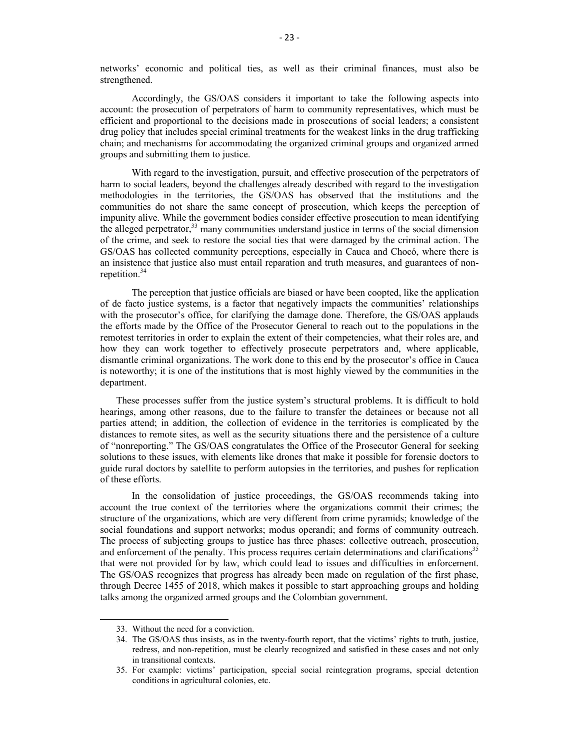networks' economic and political ties, as well as their criminal finances, must also be strengthened.

Accordingly, the GS/OAS considers it important to take the following aspects into account: the prosecution of perpetrators of harm to community representatives, which must be efficient and proportional to the decisions made in prosecutions of social leaders; a consistent drug policy that includes special criminal treatments for the weakest links in the drug trafficking chain; and mechanisms for accommodating the organized criminal groups and organized armed groups and submitting them to justice.

With regard to the investigation, pursuit, and effective prosecution of the perpetrators of harm to social leaders, beyond the challenges already described with regard to the investigation methodologies in the territories, the GS/OAS has observed that the institutions and the communities do not share the same concept of prosecution, which keeps the perception of impunity alive. While the government bodies consider effective prosecution to mean identifying the alleged perpetrator,<sup>33</sup> many communities understand justice in terms of the social dimension of the crime, and seek to restore the social ties that were damaged by the criminal action. The GS/OAS has collected community perceptions, especially in Cauca and Chocó, where there is an insistence that justice also must entail reparation and truth measures, and guarantees of nonrepetition.<sup>34</sup>

The perception that justice officials are biased or have been coopted, like the application of de facto justice systems, is a factor that negatively impacts the communities' relationships with the prosecutor's office, for clarifying the damage done. Therefore, the GS/OAS applauds the efforts made by the Office of the Prosecutor General to reach out to the populations in the remotest territories in order to explain the extent of their competencies, what their roles are, and how they can work together to effectively prosecute perpetrators and, where applicable, dismantle criminal organizations. The work done to this end by the prosecutor's office in Cauca is noteworthy; it is one of the institutions that is most highly viewed by the communities in the department.

These processes suffer from the justice system's structural problems. It is difficult to hold hearings, among other reasons, due to the failure to transfer the detainees or because not all parties attend; in addition, the collection of evidence in the territories is complicated by the distances to remote sites, as well as the security situations there and the persistence of a culture of "nonreporting." The GS/OAS congratulates the Office of the Prosecutor General for seeking solutions to these issues, with elements like drones that make it possible for forensic doctors to guide rural doctors by satellite to perform autopsies in the territories, and pushes for replication of these efforts.

In the consolidation of justice proceedings, the GS/OAS recommends taking into account the true context of the territories where the organizations commit their crimes; the structure of the organizations, which are very different from crime pyramids; knowledge of the social foundations and support networks; modus operandi; and forms of community outreach. The process of subjecting groups to justice has three phases: collective outreach, prosecution, and enforcement of the penalty. This process requires certain determinations and clarifications<sup>35</sup> that were not provided for by law, which could lead to issues and difficulties in enforcement. The GS/OAS recognizes that progress has already been made on regulation of the first phase, through Decree 1455 of 2018, which makes it possible to start approaching groups and holding talks among the organized armed groups and the Colombian government.

<sup>33.</sup> Without the need for a conviction.

<sup>34.</sup> The GS/OAS thus insists, as in the twenty-fourth report, that the victims' rights to truth, justice, redress, and non-repetition, must be clearly recognized and satisfied in these cases and not only in transitional contexts.

<sup>35.</sup> For example: victims' participation, special social reintegration programs, special detention conditions in agricultural colonies, etc.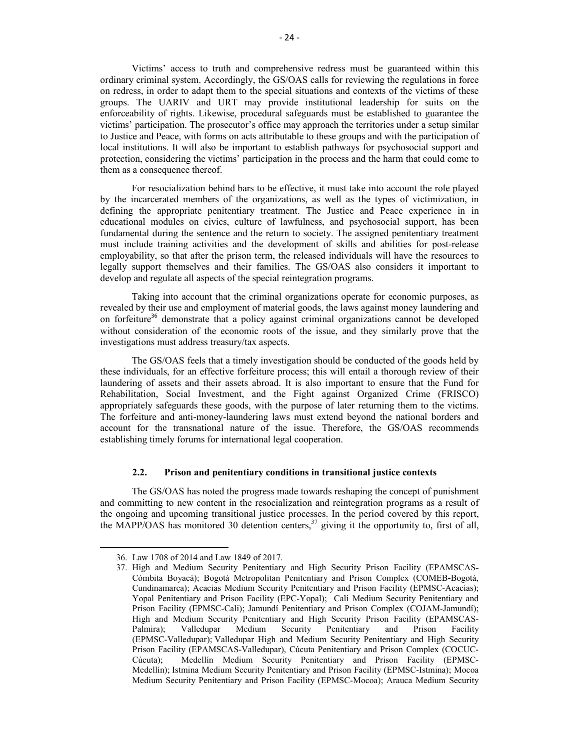Victims' access to truth and comprehensive redress must be guaranteed within this ordinary criminal system. Accordingly, the GS/OAS calls for reviewing the regulations in force on redress, in order to adapt them to the special situations and contexts of the victims of these groups. The UARIV and URT may provide institutional leadership for suits on the enforceability of rights. Likewise, procedural safeguards must be established to guarantee the victims' participation. The prosecutor's office may approach the territories under a setup similar to Justice and Peace, with forms on acts attributable to these groups and with the participation of local institutions. It will also be important to establish pathways for psychosocial support and protection, considering the victims' participation in the process and the harm that could come to them as a consequence thereof.

For resocialization behind bars to be effective, it must take into account the role played by the incarcerated members of the organizations, as well as the types of victimization, in defining the appropriate penitentiary treatment. The Justice and Peace experience in in educational modules on civics, culture of lawfulness, and psychosocial support, has been fundamental during the sentence and the return to society. The assigned penitentiary treatment must include training activities and the development of skills and abilities for post-release employability, so that after the prison term, the released individuals will have the resources to legally support themselves and their families. The GS/OAS also considers it important to develop and regulate all aspects of the special reintegration programs.

Taking into account that the criminal organizations operate for economic purposes, as revealed by their use and employment of material goods, the laws against money laundering and on forfeiture<sup>36</sup> demonstrate that a policy against criminal organizations cannot be developed without consideration of the economic roots of the issue, and they similarly prove that the investigations must address treasury/tax aspects.

The GS/OAS feels that a timely investigation should be conducted of the goods held by these individuals, for an effective forfeiture process; this will entail a thorough review of their laundering of assets and their assets abroad. It is also important to ensure that the Fund for Rehabilitation, Social Investment, and the Fight against Organized Crime (FRISCO) appropriately safeguards these goods, with the purpose of later returning them to the victims. The forfeiture and anti-money-laundering laws must extend beyond the national borders and account for the transnational nature of the issue. Therefore, the GS/OAS recommends establishing timely forums for international legal cooperation.

#### **2.2. Prison and penitentiary conditions in transitional justice contexts**

The GS/OAS has noted the progress made towards reshaping the concept of punishment and committing to new content in the resocialization and reintegration programs as a result of the ongoing and upcoming transitional justice processes. In the period covered by this report, the MAPP/OAS has monitored 30 detention centers,<sup>37</sup> giving it the opportunity to, first of all,

<sup>36.</sup> Law 1708 of 2014 and Law 1849 of 2017.

<sup>37.</sup> High and Medium Security Penitentiary and High Security Prison Facility (EPAMSCAS**-**Cómbita Boyacá); Bogotá Metropolitan Penitentiary and Prison Complex (COMEB**-**Bogotá, Cundinamarca); Acacias Medium Security Penitentiary and Prison Facility (EPMSC-Acacías); Yopal Penitentiary and Prison Facility (EPC-Yopal); Cali Medium Security Penitentiary and Prison Facility (EPMSC-Cali); Jamundí Penitentiary and Prison Complex (COJAM-Jamundí); High and Medium Security Penitentiary and High Security Prison Facility (EPAMSCAS-Palmira); Valledupar Medium Security Penitentiary and Prison Facility (EPMSC-Valledupar); Valledupar High and Medium Security Penitentiary and High Security Prison Facility (EPAMSCAS-Valledupar), Cúcuta Penitentiary and Prison Complex (COCUC-Cúcuta); Medellín Medium Security Penitentiary and Prison Facility (EPMSC-Medellín); Istmina Medium Security Penitentiary and Prison Facility (EPMSC-Istmina); Mocoa Medium Security Penitentiary and Prison Facility (EPMSC-Mocoa); Arauca Medium Security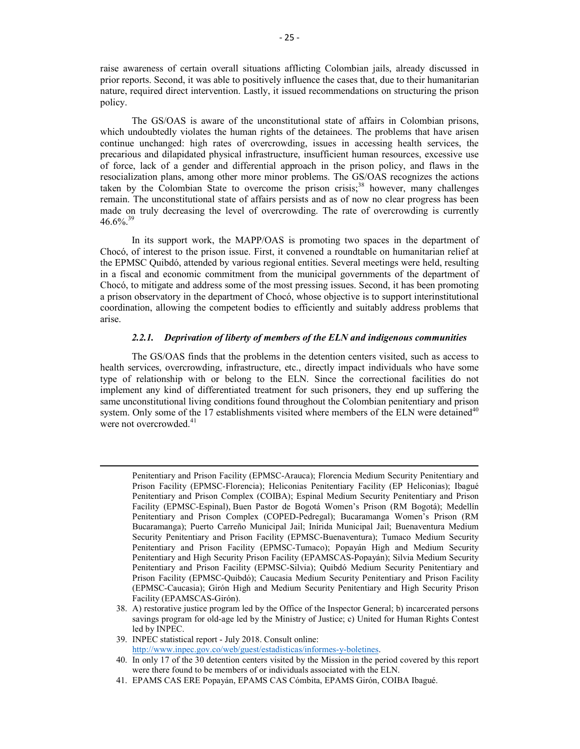raise awareness of certain overall situations afflicting Colombian jails, already discussed in prior reports. Second, it was able to positively influence the cases that, due to their humanitarian nature, required direct intervention. Lastly, it issued recommendations on structuring the prison policy.

The GS/OAS is aware of the unconstitutional state of affairs in Colombian prisons, which undoubtedly violates the human rights of the detainees. The problems that have arisen continue unchanged: high rates of overcrowding, issues in accessing health services, the precarious and dilapidated physical infrastructure, insufficient human resources, excessive use of force, lack of a gender and differential approach in the prison policy, and flaws in the resocialization plans, among other more minor problems. The GS/OAS recognizes the actions taken by the Colombian State to overcome the prison crisis;<sup>38</sup> however, many challenges remain. The unconstitutional state of affairs persists and as of now no clear progress has been made on truly decreasing the level of overcrowding. The rate of overcrowding is currently  $46.6\%$ <sup>39</sup>

In its support work, the MAPP/OAS is promoting two spaces in the department of Chocó, of interest to the prison issue. First, it convened a roundtable on humanitarian relief at the EPMSC Quibdó, attended by various regional entities. Several meetings were held, resulting in a fiscal and economic commitment from the municipal governments of the department of Chocó, to mitigate and address some of the most pressing issues. Second, it has been promoting a prison observatory in the department of Chocó, whose objective is to support interinstitutional coordination, allowing the competent bodies to efficiently and suitably address problems that arise.

## *2.2.1. Deprivation of liberty of members of the ELN and indigenous communities*

The GS/OAS finds that the problems in the detention centers visited, such as access to health services, overcrowding, infrastructure, etc., directly impact individuals who have some type of relationship with or belong to the ELN. Since the correctional facilities do not implement any kind of differentiated treatment for such prisoners, they end up suffering the same unconstitutional living conditions found throughout the Colombian penitentiary and prison system. Only some of the 17 establishments visited where members of the ELN were detained<sup>40</sup> were not overcrowded.<sup>41</sup>

Penitentiary and Prison Facility (EPMSC-Arauca); Florencia Medium Security Penitentiary and Prison Facility (EPMSC-Florencia); Heliconias Penitentiary Facility (EP Heliconias); Ibagué Penitentiary and Prison Complex (COIBA); Espinal Medium Security Penitentiary and Prison Facility (EPMSC-Espinal), Buen Pastor de Bogotá Women's Prison (RM Bogotá); Medellín Penitentiary and Prison Complex (COPED-Pedregal); Bucaramanga Women's Prison (RM Bucaramanga); Puerto Carreño Municipal Jail; Inírida Municipal Jail; Buenaventura Medium Security Penitentiary and Prison Facility (EPMSC-Buenaventura); Tumaco Medium Security Penitentiary and Prison Facility (EPMSC-Tumaco); Popayán High and Medium Security Penitentiary and High Security Prison Facility (EPAMSCAS-Popayán); Silvia Medium Security Penitentiary and Prison Facility (EPMSC-Silvia); Quibdó Medium Security Penitentiary and Prison Facility (EPMSC-Quibdó); Caucasia Medium Security Penitentiary and Prison Facility (EPMSC-Caucasia); Girón High and Medium Security Penitentiary and High Security Prison Facility (EPAMSCAS-Girón).

<sup>38.</sup> A) restorative justice program led by the Office of the Inspector General; b) incarcerated persons savings program for old-age led by the Ministry of Justice; c) United for Human Rights Contest led by INPEC.

<sup>39.</sup> INPEC statistical report - July 2018. Consult online:

http://www.inpec.gov.co/web/guest/estadisticas/informes-y-boletines.

<sup>40.</sup> In only 17 of the 30 detention centers visited by the Mission in the period covered by this report were there found to be members of or individuals associated with the ELN.

<sup>41.</sup> EPAMS CAS ERE Popayán, EPAMS CAS Cómbita, EPAMS Girón, COIBA Ibagué.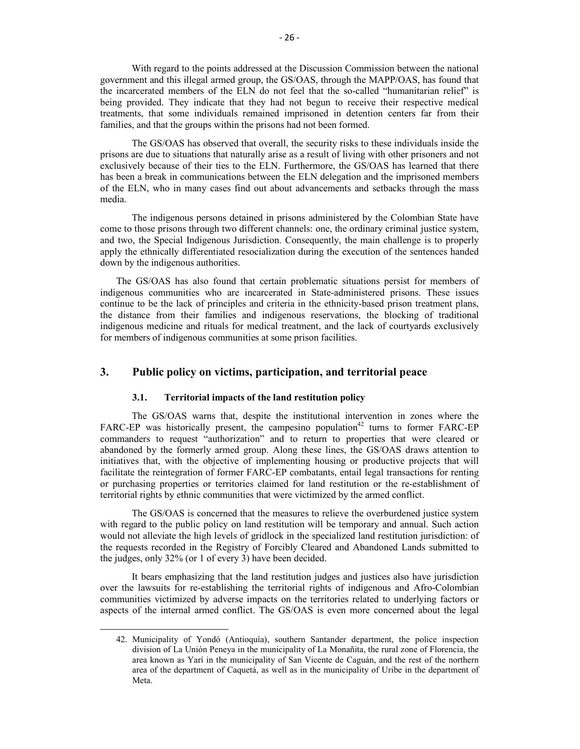With regard to the points addressed at the Discussion Commission between the national government and this illegal armed group, the GS/OAS, through the MAPP/OAS, has found that the incarcerated members of the ELN do not feel that the so-called "humanitarian relief" is being provided. They indicate that they had not begun to receive their respective medical treatments, that some individuals remained imprisoned in detention centers far from their families, and that the groups within the prisons had not been formed.

The GS/OAS has observed that overall, the security risks to these individuals inside the prisons are due to situations that naturally arise as a result of living with other prisoners and not exclusively because of their ties to the ELN. Furthermore, the GS/OAS has learned that there has been a break in communications between the ELN delegation and the imprisoned members of the ELN, who in many cases find out about advancements and setbacks through the mass media.

The indigenous persons detained in prisons administered by the Colombian State have come to those prisons through two different channels: one, the ordinary criminal justice system, and two, the Special Indigenous Jurisdiction. Consequently, the main challenge is to properly apply the ethnically differentiated resocialization during the execution of the sentences handed down by the indigenous authorities.

The GS/OAS has also found that certain problematic situations persist for members of indigenous communities who are incarcerated in State-administered prisons. These issues continue to be the lack of principles and criteria in the ethnicity-based prison treatment plans, the distance from their families and indigenous reservations, the blocking of traditional indigenous medicine and rituals for medical treatment, and the lack of courtyards exclusively for members of indigenous communities at some prison facilities.

# **3. Public policy on victims, participation, and territorial peace**

#### **3.1. Territorial impacts of the land restitution policy**

 $\overline{a}$ 

The GS/OAS warns that, despite the institutional intervention in zones where the  $FARC-EP$  was historically present, the campesino population<sup>42</sup> turns to former  $FARC-EP$ commanders to request "authorization" and to return to properties that were cleared or abandoned by the formerly armed group. Along these lines, the GS/OAS draws attention to initiatives that, with the objective of implementing housing or productive projects that will facilitate the reintegration of former FARC-EP combatants, entail legal transactions for renting or purchasing properties or territories claimed for land restitution or the re-establishment of territorial rights by ethnic communities that were victimized by the armed conflict.

The GS/OAS is concerned that the measures to relieve the overburdened justice system with regard to the public policy on land restitution will be temporary and annual. Such action would not alleviate the high levels of gridlock in the specialized land restitution jurisdiction: of the requests recorded in the Registry of Forcibly Cleared and Abandoned Lands submitted to the judges, only 32% (or 1 of every 3) have been decided.

It bears emphasizing that the land restitution judges and justices also have jurisdiction over the lawsuits for re-establishing the territorial rights of indigenous and Afro-Colombian communities victimized by adverse impacts on the territories related to underlying factors or aspects of the internal armed conflict. The GS/OAS is even more concerned about the legal

<sup>42.</sup> Municipality of Yondó (Antioquía), southern Santander department, the police inspection division of La Unión Peneya in the municipality of La Monañita, the rural zone of Florencia, the area known as Yarí in the municipality of San Vicente de Caguán, and the rest of the northern area of the department of Caquetá, as well as in the municipality of Uribe in the department of Meta.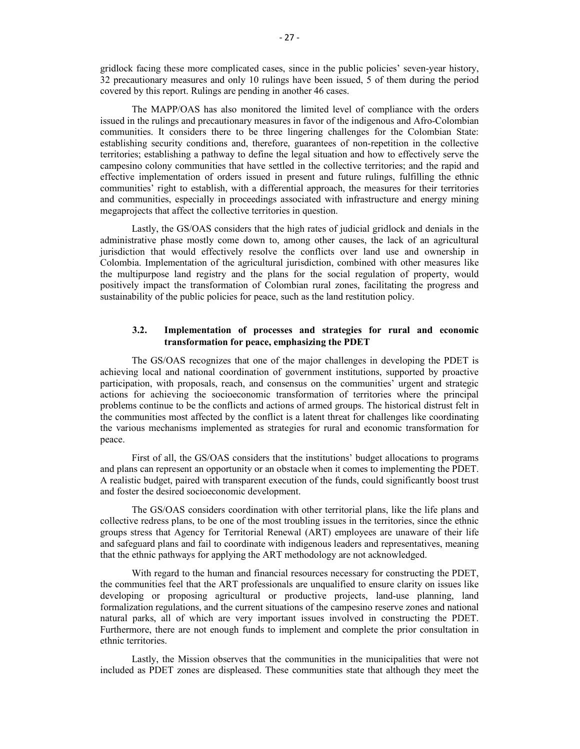gridlock facing these more complicated cases, since in the public policies' seven-year history, 32 precautionary measures and only 10 rulings have been issued, 5 of them during the period covered by this report. Rulings are pending in another 46 cases.

The MAPP/OAS has also monitored the limited level of compliance with the orders issued in the rulings and precautionary measures in favor of the indigenous and Afro-Colombian communities. It considers there to be three lingering challenges for the Colombian State: establishing security conditions and, therefore, guarantees of non-repetition in the collective territories; establishing a pathway to define the legal situation and how to effectively serve the campesino colony communities that have settled in the collective territories; and the rapid and effective implementation of orders issued in present and future rulings, fulfilling the ethnic communities' right to establish, with a differential approach, the measures for their territories and communities, especially in proceedings associated with infrastructure and energy mining megaprojects that affect the collective territories in question.

Lastly, the GS/OAS considers that the high rates of judicial gridlock and denials in the administrative phase mostly come down to, among other causes, the lack of an agricultural jurisdiction that would effectively resolve the conflicts over land use and ownership in Colombia. Implementation of the agricultural jurisdiction, combined with other measures like the multipurpose land registry and the plans for the social regulation of property, would positively impact the transformation of Colombian rural zones, facilitating the progress and sustainability of the public policies for peace, such as the land restitution policy.

# **3.2. Implementation of processes and strategies for rural and economic transformation for peace, emphasizing the PDET**

The GS/OAS recognizes that one of the major challenges in developing the PDET is achieving local and national coordination of government institutions, supported by proactive participation, with proposals, reach, and consensus on the communities' urgent and strategic actions for achieving the socioeconomic transformation of territories where the principal problems continue to be the conflicts and actions of armed groups. The historical distrust felt in the communities most affected by the conflict is a latent threat for challenges like coordinating the various mechanisms implemented as strategies for rural and economic transformation for peace.

First of all, the GS/OAS considers that the institutions' budget allocations to programs and plans can represent an opportunity or an obstacle when it comes to implementing the PDET. A realistic budget, paired with transparent execution of the funds, could significantly boost trust and foster the desired socioeconomic development.

The GS/OAS considers coordination with other territorial plans, like the life plans and collective redress plans, to be one of the most troubling issues in the territories, since the ethnic groups stress that Agency for Territorial Renewal (ART) employees are unaware of their life and safeguard plans and fail to coordinate with indigenous leaders and representatives, meaning that the ethnic pathways for applying the ART methodology are not acknowledged.

With regard to the human and financial resources necessary for constructing the PDET, the communities feel that the ART professionals are unqualified to ensure clarity on issues like developing or proposing agricultural or productive projects, land-use planning, land formalization regulations, and the current situations of the campesino reserve zones and national natural parks, all of which are very important issues involved in constructing the PDET. Furthermore, there are not enough funds to implement and complete the prior consultation in ethnic territories.

Lastly, the Mission observes that the communities in the municipalities that were not included as PDET zones are displeased. These communities state that although they meet the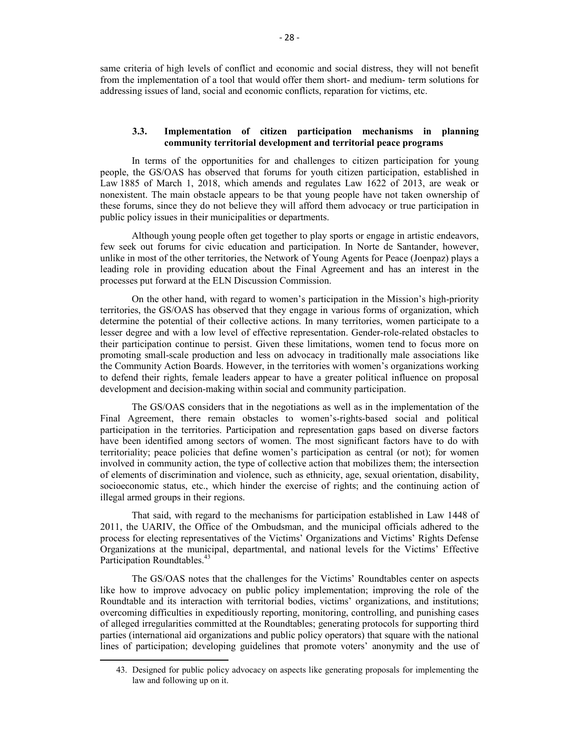same criteria of high levels of conflict and economic and social distress, they will not benefit from the implementation of a tool that would offer them short- and medium- term solutions for addressing issues of land, social and economic conflicts, reparation for victims, etc.

### **3.3. Implementation of citizen participation mechanisms in planning community territorial development and territorial peace programs**

In terms of the opportunities for and challenges to citizen participation for young people, the GS/OAS has observed that forums for youth citizen participation, established in Law 1885 of March 1, 2018, which amends and regulates Law 1622 of 2013, are weak or nonexistent. The main obstacle appears to be that young people have not taken ownership of these forums, since they do not believe they will afford them advocacy or true participation in public policy issues in their municipalities or departments.

Although young people often get together to play sports or engage in artistic endeavors, few seek out forums for civic education and participation. In Norte de Santander, however, unlike in most of the other territories, the Network of Young Agents for Peace (Joenpaz) plays a leading role in providing education about the Final Agreement and has an interest in the processes put forward at the ELN Discussion Commission.

On the other hand, with regard to women's participation in the Mission's high-priority territories, the GS/OAS has observed that they engage in various forms of organization, which determine the potential of their collective actions. In many territories, women participate to a lesser degree and with a low level of effective representation. Gender-role-related obstacles to their participation continue to persist. Given these limitations, women tend to focus more on promoting small-scale production and less on advocacy in traditionally male associations like the Community Action Boards. However, in the territories with women's organizations working to defend their rights, female leaders appear to have a greater political influence on proposal development and decision-making within social and community participation.

The GS/OAS considers that in the negotiations as well as in the implementation of the Final Agreement, there remain obstacles to women's-rights-based social and political participation in the territories. Participation and representation gaps based on diverse factors have been identified among sectors of women. The most significant factors have to do with territoriality; peace policies that define women's participation as central (or not); for women involved in community action, the type of collective action that mobilizes them; the intersection of elements of discrimination and violence, such as ethnicity, age, sexual orientation, disability, socioeconomic status, etc., which hinder the exercise of rights; and the continuing action of illegal armed groups in their regions.

That said, with regard to the mechanisms for participation established in Law 1448 of 2011, the UARIV, the Office of the Ombudsman, and the municipal officials adhered to the process for electing representatives of the Victims' Organizations and Victims' Rights Defense Organizations at the municipal, departmental, and national levels for the Victims' Effective Participation Roundtables.<sup>43</sup>

The GS/OAS notes that the challenges for the Victims' Roundtables center on aspects like how to improve advocacy on public policy implementation; improving the role of the Roundtable and its interaction with territorial bodies, victims' organizations, and institutions; overcoming difficulties in expeditiously reporting, monitoring, controlling, and punishing cases of alleged irregularities committed at the Roundtables; generating protocols for supporting third parties (international aid organizations and public policy operators) that square with the national lines of participation; developing guidelines that promote voters' anonymity and the use of

<sup>43.</sup> Designed for public policy advocacy on aspects like generating proposals for implementing the law and following up on it.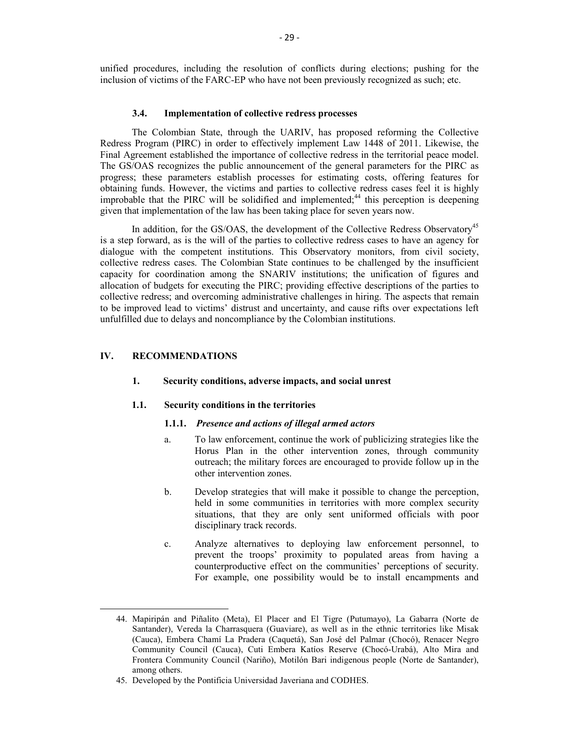unified procedures, including the resolution of conflicts during elections; pushing for the inclusion of victims of the FARC-EP who have not been previously recognized as such; etc.

#### **3.4. Implementation of collective redress processes**

The Colombian State, through the UARIV, has proposed reforming the Collective Redress Program (PIRC) in order to effectively implement Law 1448 of 2011. Likewise, the Final Agreement established the importance of collective redress in the territorial peace model. The GS/OAS recognizes the public announcement of the general parameters for the PIRC as progress; these parameters establish processes for estimating costs, offering features for obtaining funds. However, the victims and parties to collective redress cases feel it is highly improbable that the PIRC will be solidified and implemented;<sup>44</sup> this perception is deepening given that implementation of the law has been taking place for seven years now.

In addition, for the GS/OAS, the development of the Collective Redress Observatory<sup>45</sup> is a step forward, as is the will of the parties to collective redress cases to have an agency for dialogue with the competent institutions. This Observatory monitors, from civil society, collective redress cases. The Colombian State continues to be challenged by the insufficient capacity for coordination among the SNARIV institutions; the unification of figures and allocation of budgets for executing the PIRC; providing effective descriptions of the parties to collective redress; and overcoming administrative challenges in hiring. The aspects that remain to be improved lead to victims' distrust and uncertainty, and cause rifts over expectations left unfulfilled due to delays and noncompliance by the Colombian institutions.

# **IV. RECOMMENDATIONS**

 $\overline{a}$ 

### **1. Security conditions, adverse impacts, and social unrest**

#### **1.1. Security conditions in the territories**

### **1.1.1.** *Presence and actions of illegal armed actors*

- a. To law enforcement, continue the work of publicizing strategies like the Horus Plan in the other intervention zones, through community outreach; the military forces are encouraged to provide follow up in the other intervention zones.
- b. Develop strategies that will make it possible to change the perception, held in some communities in territories with more complex security situations, that they are only sent uniformed officials with poor disciplinary track records.
- c. Analyze alternatives to deploying law enforcement personnel, to prevent the troops' proximity to populated areas from having a counterproductive effect on the communities' perceptions of security. For example, one possibility would be to install encampments and

<sup>44.</sup> Mapiripán and Piñalito (Meta), El Placer and El Tigre (Putumayo), La Gabarra (Norte de Santander), Vereda la Charrasquera (Guaviare), as well as in the ethnic territories like Misak (Cauca), Embera Chamí La Pradera (Caquetá), San José del Palmar (Chocó), Renacer Negro Community Council (Cauca), Cuti Embera Katíos Reserve (Chocó-Urabá), Alto Mira and Frontera Community Council (Nariño), Motilón Bari indigenous people (Norte de Santander), among others.

<sup>45.</sup> Developed by the Pontificia Universidad Javeriana and CODHES.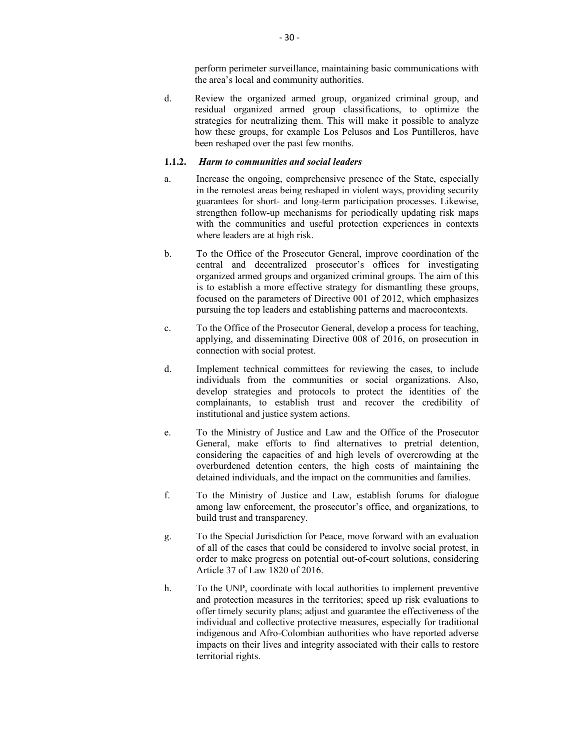perform perimeter surveillance, maintaining basic communications with the area's local and community authorities.

d. Review the organized armed group, organized criminal group, and residual organized armed group classifications, to optimize the strategies for neutralizing them. This will make it possible to analyze how these groups, for example Los Pelusos and Los Puntilleros, have been reshaped over the past few months.

### **1.1.2.** *Harm to communities and social leaders*

- a. Increase the ongoing, comprehensive presence of the State, especially in the remotest areas being reshaped in violent ways, providing security guarantees for short- and long-term participation processes. Likewise, strengthen follow-up mechanisms for periodically updating risk maps with the communities and useful protection experiences in contexts where leaders are at high risk.
- b. To the Office of the Prosecutor General, improve coordination of the central and decentralized prosecutor's offices for investigating organized armed groups and organized criminal groups. The aim of this is to establish a more effective strategy for dismantling these groups, focused on the parameters of Directive 001 of 2012, which emphasizes pursuing the top leaders and establishing patterns and macrocontexts.
- c. To the Office of the Prosecutor General, develop a process for teaching, applying, and disseminating Directive 008 of 2016, on prosecution in connection with social protest.
- d. Implement technical committees for reviewing the cases, to include individuals from the communities or social organizations. Also, develop strategies and protocols to protect the identities of the complainants, to establish trust and recover the credibility of institutional and justice system actions.
- e. To the Ministry of Justice and Law and the Office of the Prosecutor General, make efforts to find alternatives to pretrial detention, considering the capacities of and high levels of overcrowding at the overburdened detention centers, the high costs of maintaining the detained individuals, and the impact on the communities and families.
- f. To the Ministry of Justice and Law, establish forums for dialogue among law enforcement, the prosecutor's office, and organizations, to build trust and transparency.
- g. To the Special Jurisdiction for Peace, move forward with an evaluation of all of the cases that could be considered to involve social protest, in order to make progress on potential out-of-court solutions, considering Article 37 of Law 1820 of 2016.
- h. To the UNP, coordinate with local authorities to implement preventive and protection measures in the territories; speed up risk evaluations to offer timely security plans; adjust and guarantee the effectiveness of the individual and collective protective measures, especially for traditional indigenous and Afro-Colombian authorities who have reported adverse impacts on their lives and integrity associated with their calls to restore territorial rights.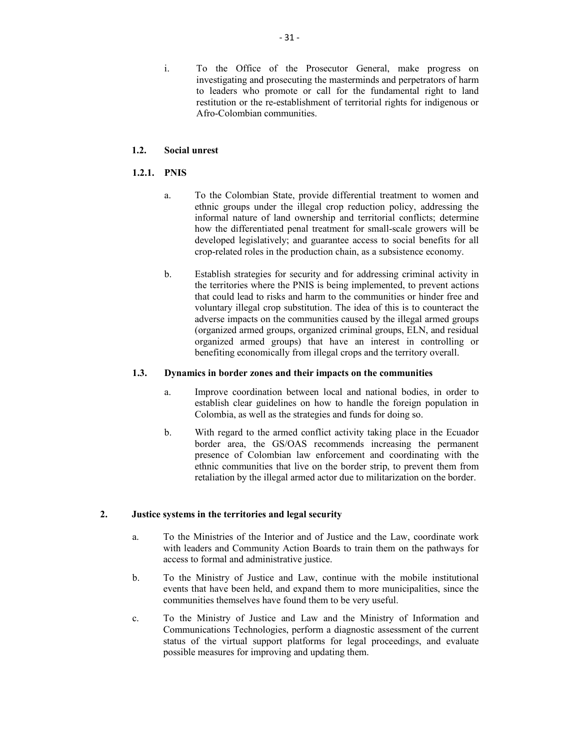i. To the Office of the Prosecutor General, make progress on investigating and prosecuting the masterminds and perpetrators of harm to leaders who promote or call for the fundamental right to land restitution or the re-establishment of territorial rights for indigenous or Afro-Colombian communities.

# **1.2. Social unrest**

# **1.2.1. PNIS**

- a. To the Colombian State, provide differential treatment to women and ethnic groups under the illegal crop reduction policy, addressing the informal nature of land ownership and territorial conflicts; determine how the differentiated penal treatment for small-scale growers will be developed legislatively; and guarantee access to social benefits for all crop-related roles in the production chain, as a subsistence economy.
- b. Establish strategies for security and for addressing criminal activity in the territories where the PNIS is being implemented, to prevent actions that could lead to risks and harm to the communities or hinder free and voluntary illegal crop substitution. The idea of this is to counteract the adverse impacts on the communities caused by the illegal armed groups (organized armed groups, organized criminal groups, ELN, and residual organized armed groups) that have an interest in controlling or benefiting economically from illegal crops and the territory overall.

# **1.3. Dynamics in border zones and their impacts on the communities**

- a. Improve coordination between local and national bodies, in order to establish clear guidelines on how to handle the foreign population in Colombia, as well as the strategies and funds for doing so.
- b. With regard to the armed conflict activity taking place in the Ecuador border area, the GS/OAS recommends increasing the permanent presence of Colombian law enforcement and coordinating with the ethnic communities that live on the border strip, to prevent them from retaliation by the illegal armed actor due to militarization on the border.

## **2. Justice systems in the territories and legal security**

- a. To the Ministries of the Interior and of Justice and the Law, coordinate work with leaders and Community Action Boards to train them on the pathways for access to formal and administrative justice.
- b. To the Ministry of Justice and Law, continue with the mobile institutional events that have been held, and expand them to more municipalities, since the communities themselves have found them to be very useful.
- c. To the Ministry of Justice and Law and the Ministry of Information and Communications Technologies, perform a diagnostic assessment of the current status of the virtual support platforms for legal proceedings, and evaluate possible measures for improving and updating them.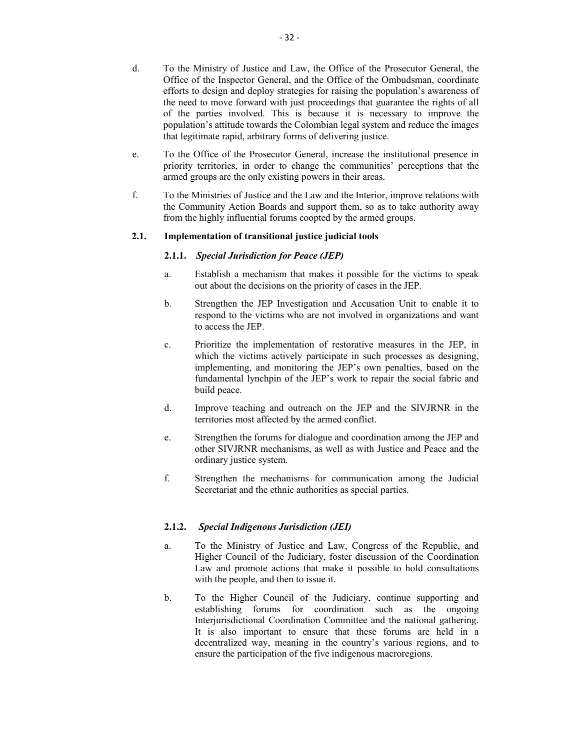- d. To the Ministry of Justice and Law, the Office of the Prosecutor General, the Office of the Inspector General, and the Office of the Ombudsman, coordinate efforts to design and deploy strategies for raising the population's awareness of the need to move forward with just proceedings that guarantee the rights of all of the parties involved. This is because it is necessary to improve the population's attitude towards the Colombian legal system and reduce the images that legitimate rapid, arbitrary forms of delivering justice.
- e. To the Office of the Prosecutor General, increase the institutional presence in priority territories, in order to change the communities' perceptions that the armed groups are the only existing powers in their areas.
- f. To the Ministries of Justice and the Law and the Interior, improve relations with the Community Action Boards and support them, so as to take authority away from the highly influential forums coopted by the armed groups.

## **2.1. Implementation of transitional justice judicial tools**

## **2.1.1.** *Special Jurisdiction for Peace (JEP)*

- a. Establish a mechanism that makes it possible for the victims to speak out about the decisions on the priority of cases in the JEP.
- b. Strengthen the JEP Investigation and Accusation Unit to enable it to respond to the victims who are not involved in organizations and want to access the JEP.
- c. Prioritize the implementation of restorative measures in the JEP, in which the victims actively participate in such processes as designing, implementing, and monitoring the JEP's own penalties, based on the fundamental lynchpin of the JEP's work to repair the social fabric and build peace.
- d. Improve teaching and outreach on the JEP and the SIVJRNR in the territories most affected by the armed conflict.
- e. Strengthen the forums for dialogue and coordination among the JEP and other SIVJRNR mechanisms, as well as with Justice and Peace and the ordinary justice system.
- f. Strengthen the mechanisms for communication among the Judicial Secretariat and the ethnic authorities as special parties.

## **2.1.2.** *Special Indigenous Jurisdiction (JEI)*

- a. To the Ministry of Justice and Law, Congress of the Republic, and Higher Council of the Judiciary, foster discussion of the Coordination Law and promote actions that make it possible to hold consultations with the people, and then to issue it.
- b. To the Higher Council of the Judiciary, continue supporting and establishing forums for coordination such as the ongoing Interjurisdictional Coordination Committee and the national gathering. It is also important to ensure that these forums are held in a decentralized way, meaning in the country's various regions, and to ensure the participation of the five indigenous macroregions.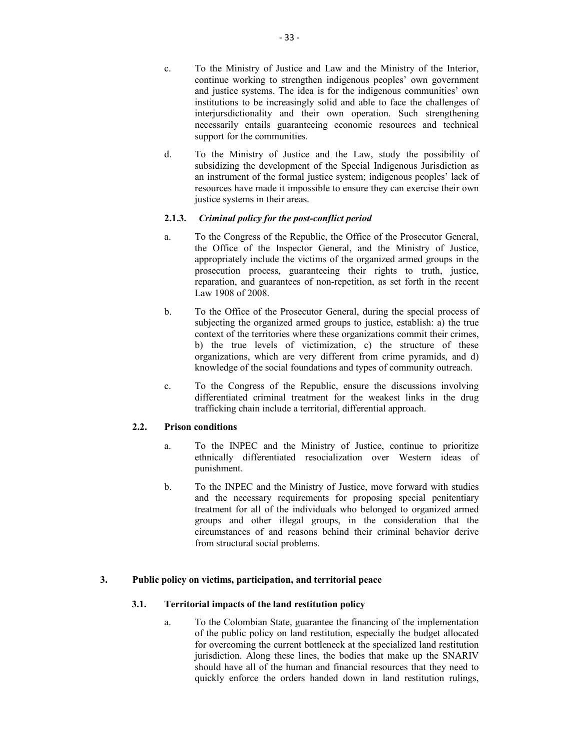- c. To the Ministry of Justice and Law and the Ministry of the Interior, continue working to strengthen indigenous peoples' own government and justice systems. The idea is for the indigenous communities' own institutions to be increasingly solid and able to face the challenges of interjursdictionality and their own operation. Such strengthening necessarily entails guaranteeing economic resources and technical support for the communities.
- d. To the Ministry of Justice and the Law, study the possibility of subsidizing the development of the Special Indigenous Jurisdiction as an instrument of the formal justice system; indigenous peoples' lack of resources have made it impossible to ensure they can exercise their own justice systems in their areas.

# **2.1.3.** *Criminal policy for the post-conflict period*

- a. To the Congress of the Republic, the Office of the Prosecutor General, the Office of the Inspector General, and the Ministry of Justice, appropriately include the victims of the organized armed groups in the prosecution process, guaranteeing their rights to truth, justice, reparation, and guarantees of non-repetition, as set forth in the recent Law 1908 of 2008.
- b. To the Office of the Prosecutor General, during the special process of subjecting the organized armed groups to justice, establish: a) the true context of the territories where these organizations commit their crimes, b) the true levels of victimization, c) the structure of these organizations, which are very different from crime pyramids, and d) knowledge of the social foundations and types of community outreach.
- c. To the Congress of the Republic, ensure the discussions involving differentiated criminal treatment for the weakest links in the drug trafficking chain include a territorial, differential approach.

## **2.2. Prison conditions**

- a. To the INPEC and the Ministry of Justice, continue to prioritize ethnically differentiated resocialization over Western ideas of punishment.
- b. To the INPEC and the Ministry of Justice, move forward with studies and the necessary requirements for proposing special penitentiary treatment for all of the individuals who belonged to organized armed groups and other illegal groups, in the consideration that the circumstances of and reasons behind their criminal behavior derive from structural social problems.

# **3. Public policy on victims, participation, and territorial peace**

## **3.1. Territorial impacts of the land restitution policy**

a. To the Colombian State, guarantee the financing of the implementation of the public policy on land restitution, especially the budget allocated for overcoming the current bottleneck at the specialized land restitution jurisdiction. Along these lines, the bodies that make up the SNARIV should have all of the human and financial resources that they need to quickly enforce the orders handed down in land restitution rulings,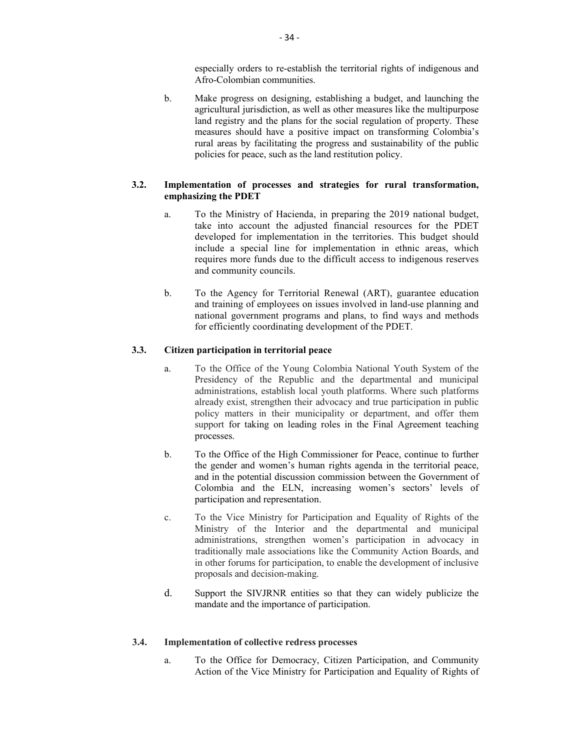especially orders to re-establish the territorial rights of indigenous and Afro-Colombian communities.

b. Make progress on designing, establishing a budget, and launching the agricultural jurisdiction, as well as other measures like the multipurpose land registry and the plans for the social regulation of property. These measures should have a positive impact on transforming Colombia's rural areas by facilitating the progress and sustainability of the public policies for peace, such as the land restitution policy.

# **3.2. Implementation of processes and strategies for rural transformation, emphasizing the PDET**

- a. To the Ministry of Hacienda, in preparing the 2019 national budget, take into account the adjusted financial resources for the PDET developed for implementation in the territories. This budget should include a special line for implementation in ethnic areas, which requires more funds due to the difficult access to indigenous reserves and community councils.
- b. To the Agency for Territorial Renewal (ART), guarantee education and training of employees on issues involved in land-use planning and national government programs and plans, to find ways and methods for efficiently coordinating development of the PDET.

## **3.3. Citizen participation in territorial peace**

- a. To the Office of the Young Colombia National Youth System of the Presidency of the Republic and the departmental and municipal administrations, establish local youth platforms. Where such platforms already exist, strengthen their advocacy and true participation in public policy matters in their municipality or department, and offer them support for taking on leading roles in the Final Agreement teaching processes.
- b. To the Office of the High Commissioner for Peace, continue to further the gender and women's human rights agenda in the territorial peace, and in the potential discussion commission between the Government of Colombia and the ELN, increasing women's sectors' levels of participation and representation.
- c. To the Vice Ministry for Participation and Equality of Rights of the Ministry of the Interior and the departmental and municipal administrations, strengthen women's participation in advocacy in traditionally male associations like the Community Action Boards, and in other forums for participation, to enable the development of inclusive proposals and decision-making.
- d. Support the SIVJRNR entities so that they can widely publicize the mandate and the importance of participation.

#### **3.4. Implementation of collective redress processes**

a. To the Office for Democracy, Citizen Participation, and Community Action of the Vice Ministry for Participation and Equality of Rights of